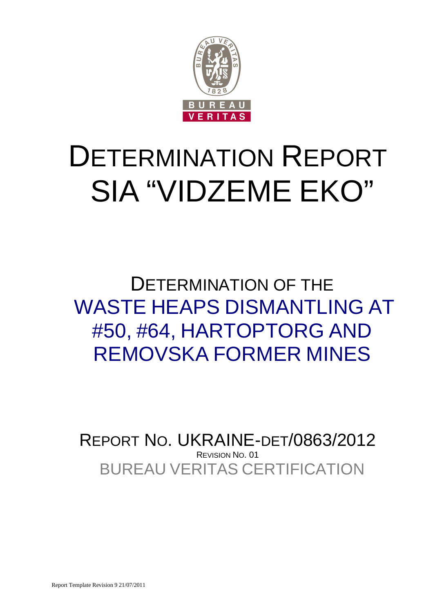

# DETERMINATION REPORT SIA "VIDZEME EKO"

DETERMINATION OF THE WASTE HEAPS DISMANTLING AT #50, #64, HARTOPTORG AND REMOVSKA FORMER MINES

BUREAU VERITAS CERTIFICATION REPORT NO. UKRAINE-DET/0863/2012 REVISION NO. 01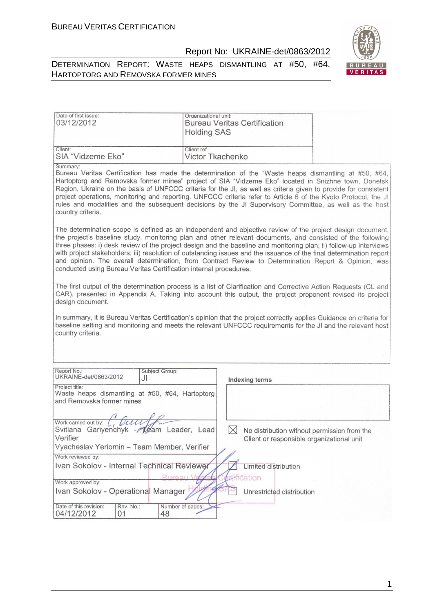



| Date of first issue:<br>03/12/2012                                                                              | Organizational unit:<br><b>Holding SAS</b> | <b>Bureau Veritas Certification</b>                                                                                                                                                                                                                                                                                                                                                                                                                                                                                                                                        |
|-----------------------------------------------------------------------------------------------------------------|--------------------------------------------|----------------------------------------------------------------------------------------------------------------------------------------------------------------------------------------------------------------------------------------------------------------------------------------------------------------------------------------------------------------------------------------------------------------------------------------------------------------------------------------------------------------------------------------------------------------------------|
| Client:<br>SIA "Vidzeme Eko"                                                                                    | Client ref.:<br><b>Victor Tkachenko</b>    |                                                                                                                                                                                                                                                                                                                                                                                                                                                                                                                                                                            |
| Summary:<br>country criteria.                                                                                   |                                            | Bureau Veritas Certification has made the determination of the "Waste heaps dismantling at #50, #64,<br>Hartoptorg and Removska former mines" project of SIA "Vidzeme Eko" located in Snizhne town, Donetsk<br>Region, Ukraine on the basis of UNFCCC criteria for the JI, as well as criteria given to provide for consistent<br>project operations, monitoring and reporting. UNFCCC criteria refer to Article 6 of the Kyoto Protocol, the JI<br>rules and modalities and the subsequent decisions by the JI Supervisory Committee, as well as the host                 |
| conducted using Bureau Veritas Certification internal procedures.                                               |                                            | The determination scope is defined as an independent and objective review of the project design document,<br>the project's baseline study, monitoring plan and other relevant documents, and consisted of the following<br>three phases: i) desk review of the project design and the baseline and monitoring plan; ii) follow-up interviews<br>with project stakeholders; iii) resolution of outstanding issues and the issuance of the final determination report<br>and opinion. The overall determination, from Contract Review to Determination Report & Opinion, was |
| design document.<br>country criteria.                                                                           |                                            | The first output of the determination process is a list of Clarification and Corrective Action Requests (CL and<br>CAR), presented in Appendix A. Taking into account this output, the project proponent revised its project<br>In summary, it is Bureau Veritas Certification's opinion that the project correctly applies Guidance on criteria for<br>baseline setting and monitoring and meets the relevant UNFCCC requirements for the JI and the relevant host                                                                                                        |
| Report No.:<br>Subject Group:                                                                                   |                                            |                                                                                                                                                                                                                                                                                                                                                                                                                                                                                                                                                                            |
| UKRAINE-det/0863/2012<br>JI                                                                                     |                                            | <b>Indexing terms</b>                                                                                                                                                                                                                                                                                                                                                                                                                                                                                                                                                      |
| Project title:<br>Waste heaps dismantling at #50, #64, Hartoptorg<br>and Removska former mines                  |                                            |                                                                                                                                                                                                                                                                                                                                                                                                                                                                                                                                                                            |
|                                                                                                                 |                                            |                                                                                                                                                                                                                                                                                                                                                                                                                                                                                                                                                                            |
| Work carried out by: $\left(\frac{1}{2}\right)$<br>auce<br>Svitlana Gariyenchyk - Team Leader, Lead<br>Verifier |                                            | $\times$<br>No distribution without permission from the<br>Client or responsible organizational unit                                                                                                                                                                                                                                                                                                                                                                                                                                                                       |
| Vyacheslav Yeriomin - Team Member, Verifier                                                                     |                                            |                                                                                                                                                                                                                                                                                                                                                                                                                                                                                                                                                                            |
| Work reviewed by:                                                                                               |                                            |                                                                                                                                                                                                                                                                                                                                                                                                                                                                                                                                                                            |
| Ivan Sokolov - Internal Technical Reviewer                                                                      |                                            | <b>Limited distribution</b>                                                                                                                                                                                                                                                                                                                                                                                                                                                                                                                                                |
| Work approved by:                                                                                               | Rureau V                                   | <b>Alfication</b>                                                                                                                                                                                                                                                                                                                                                                                                                                                                                                                                                          |
| Ivan Sokolov - Operational Manager                                                                              |                                            | Unrestricted distribution                                                                                                                                                                                                                                                                                                                                                                                                                                                                                                                                                  |
| Date of this revision:<br>Rev. No.:<br>04/12/2012<br>01<br>48                                                   | Number of pages:                           |                                                                                                                                                                                                                                                                                                                                                                                                                                                                                                                                                                            |

1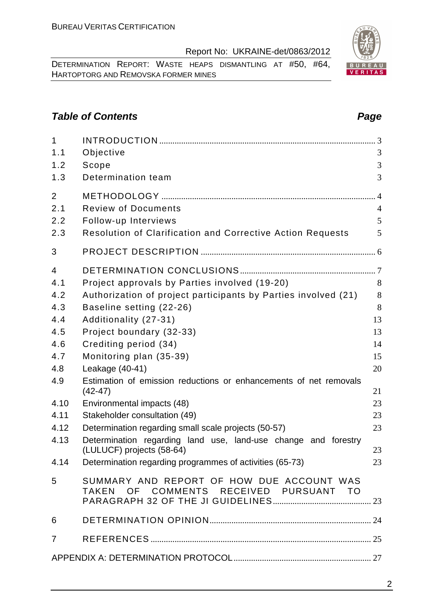DETERMINATION REPORT: WASTE HEAPS DISMANTLING AT #50, #64, HARTOPTORG AND REMOVSKA FORMER MINES

# **Table of Contents Page 2014**

| $\mathbf{1}$   |                                                                                     |                |
|----------------|-------------------------------------------------------------------------------------|----------------|
| 1.1            | Objective                                                                           | 3              |
| 1.2            | Scope                                                                               | 3              |
| 1.3            | Determination team                                                                  | 3              |
| $\overline{2}$ |                                                                                     |                |
| 2.1            | <b>Review of Documents</b>                                                          | $\overline{4}$ |
| 2.2            | Follow-up Interviews                                                                | 5              |
| 2.3            | Resolution of Clarification and Corrective Action Requests                          | 5              |
| 3              |                                                                                     |                |
| 4              |                                                                                     |                |
| 4.1            | Project approvals by Parties involved (19-20)                                       | 8              |
| 4.2            | Authorization of project participants by Parties involved (21)                      | 8              |
| 4.3            | Baseline setting (22-26)                                                            | 8              |
| 4.4            | Additionality (27-31)                                                               | 13             |
| 4.5            | Project boundary (32-33)                                                            | 13             |
| 4.6            | Crediting period (34)                                                               | 14             |
| 4.7            | Monitoring plan (35-39)                                                             | 15             |
| 4.8            | Leakage (40-41)                                                                     | 20             |
| 4.9            | Estimation of emission reductions or enhancements of net removals<br>$(42-47)$      | 21             |
| 4.10           | Environmental impacts (48)                                                          | 23             |
| 4.11           | Stakeholder consultation (49)                                                       | 23             |
| 4.12           | Determination regarding small scale projects (50-57)                                | 23             |
| 4.13           | Determination regarding land use, land-use change and forestry                      |                |
|                | (LULUCF) projects (58-64)                                                           | 23             |
|                | 4.14 Determination regarding programmes of activities (65-73)                       | 23             |
| 5              | SUMMARY AND REPORT OF HOW DUE ACCOUNT WAS<br>TAKEN OF COMMENTS RECEIVED PURSUANT TO |                |
| 6              |                                                                                     |                |
| $\overline{7}$ |                                                                                     |                |
|                |                                                                                     |                |
|                |                                                                                     |                |

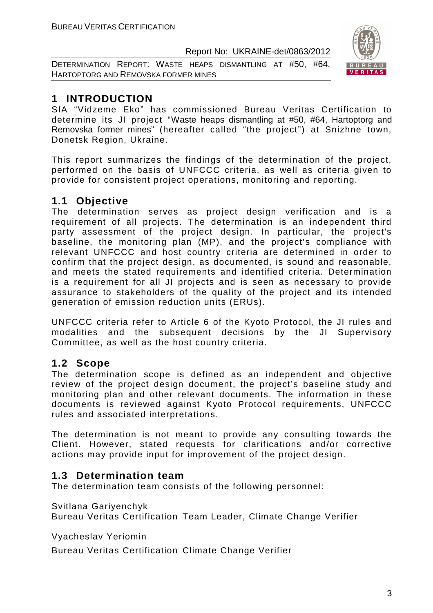DETERMINATION REPORT: WASTE HEAPS DISMANTLING AT #50, #64, HARTOPTORG AND REMOVSKA FORMER MINES



# **1 INTRODUCTION**

SIA "Vidzeme Eko" has commissioned Bureau Veritas Certification to determine its JI project "Waste heaps dismantling at #50, #64, Hartoptorg and Removska former mines" (hereafter called "the project") at Snizhne town, Donetsk Region, Ukraine.

This report summarizes the findings of the determination of the project, performed on the basis of UNFCCC criteria, as well as criteria given to provide for consistent project operations, monitoring and reporting.

# **1.1 Objective**

The determination serves as project design verification and is a requirement of all projects. The determination is an independent third party assessment of the project design. In particular, the project's baseline, the monitoring plan (MP), and the project's compliance with relevant UNFCCC and host country criteria are determined in order to confirm that the project design, as documented, is sound and reasonable, and meets the stated requirements and identified criteria. Determination is a requirement for all JI projects and is seen as necessary to provide assurance to stakeholders of the quality of the project and its intended generation of emission reduction units (ERUs).

UNFCCC criteria refer to Article 6 of the Kyoto Protocol, the JI rules and modalities and the subsequent decisions by the JI Supervisory Committee, as well as the host country criteria.

# **1.2 Scope**

The determination scope is defined as an independent and objective review of the project design document, the project's baseline study and monitoring plan and other relevant documents. The information in these documents is reviewed against Kyoto Protocol requirements, UNFCCC rules and associated interpretations.

The determination is not meant to provide any consulting towards the Client. However, stated requests for clarifications and/or corrective actions may provide input for improvement of the project design.

# **1.3 Determination team**

The determination team consists of the following personnel:

Svitlana Gariyenchyk

Bureau Veritas Certification Team Leader, Climate Change Verifier

Vyacheslav Yeriomin

Bureau Veritas Certification Climate Change Verifier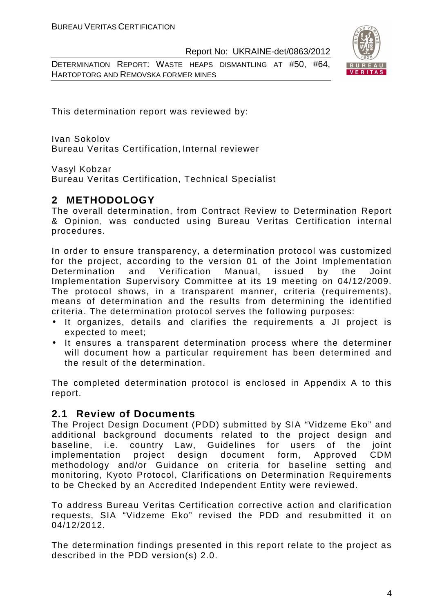DETERMINATION REPORT: WASTE HEAPS DISMANTLING AT #50, #64, HARTOPTORG AND REMOVSKA FORMER MINES



This determination report was reviewed by:

Ivan Sokolov Bureau Veritas Certification, Internal reviewer

Vasyl Kobzar

Bureau Veritas Certification, Technical Specialist

# **2 METHODOLOGY**

The overall determination, from Contract Review to Determination Report & Opinion, was conducted using Bureau Veritas Certification internal procedures.

In order to ensure transparency, a determination protocol was customized for the project, according to the version 01 of the Joint Implementation Determination and Verification Manual, issued by the Joint Implementation Supervisory Committee at its 19 meeting on 04/12/2009. The protocol shows, in a transparent manner, criteria (requirements), means of determination and the results from determining the identified criteria. The determination protocol serves the following purposes:

- It organizes, details and clarifies the requirements a JI project is expected to meet;
- It ensures a transparent determination process where the determiner will document how a particular requirement has been determined and the result of the determination.

The completed determination protocol is enclosed in Appendix A to this report.

# **2.1 Review of Documents**

The Project Design Document (PDD) submitted by SIA "Vidzeme Eko" and additional background documents related to the project design and baseline, i.e. country Law, Guidelines for users of the joint implementation project design document form, Approved CDM methodology and/or Guidance on criteria for baseline setting and monitoring, Kyoto Protocol, Clarifications on Determination Requirements to be Checked by an Accredited Independent Entity were reviewed.

To address Bureau Veritas Certification corrective action and clarification requests, SIA "Vidzeme Eko" revised the PDD and resubmitted it on 04/12/2012.

The determination findings presented in this report relate to the project as described in the PDD version(s) 2.0.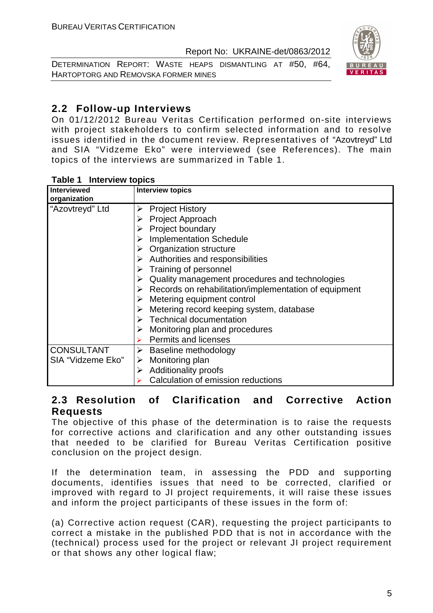DETERMINATION REPORT: WASTE HEAPS DISMANTLING AT #50, #64, HARTOPTORG AND REMOVSKA FORMER MINES



# **2.2 Follow-up Interviews**

On 01/12/2012 Bureau Veritas Certification performed on-site interviews with project stakeholders to confirm selected information and to resolve issues identified in the document review. Representatives of "Azovtreyd" Ltd and SIA "Vidzeme Eko" were interviewed (see References). The main topics of the interviews are summarized in Table 1.

| <b>Interviewed</b><br>organization | <b>Interview topics</b>                                    |
|------------------------------------|------------------------------------------------------------|
|                                    |                                                            |
| "Azovtreyd" Ltd                    | <b>Project History</b><br>➤                                |
|                                    | <b>Project Approach</b><br>➤                               |
|                                    | Project boundary<br>➤                                      |
|                                    | <b>Implementation Schedule</b>                             |
|                                    | $\triangleright$ Organization structure                    |
|                                    | $\triangleright$ Authorities and responsibilities          |
|                                    | $\triangleright$ Training of personnel                     |
|                                    | Quality management procedures and technologies<br>➤        |
|                                    | Records on rehabilitation/implementation of equipment<br>➤ |
|                                    | Metering equipment control                                 |
|                                    | Metering record keeping system, database<br>➤              |
|                                    | $\triangleright$ Technical documentation                   |
|                                    | Monitoring plan and procedures<br>➤                        |
|                                    | <b>Permits and licenses</b>                                |
| <b>CONSULTANT</b>                  | Baseline methodology<br>➤                                  |
| SIA "Vidzeme Eko"                  | Monitoring plan<br>➤                                       |
|                                    | <b>Additionality proofs</b><br>➤                           |
|                                    | Calculation of emission reductions                         |

#### **Table 1 Interview topics**

# **2.3 Resolution of Clarification and Corrective Action Requests**

The objective of this phase of the determination is to raise the requests for corrective actions and clarification and any other outstanding issues that needed to be clarified for Bureau Veritas Certification positive conclusion on the project design.

If the determination team, in assessing the PDD and supporting documents, identifies issues that need to be corrected, clarified or improved with regard to JI project requirements, it will raise these issues and inform the project participants of these issues in the form of:

(a) Corrective action request (CAR), requesting the project participants to correct a mistake in the published PDD that is not in accordance with the (technical) process used for the project or relevant JI project requirement or that shows any other logical flaw;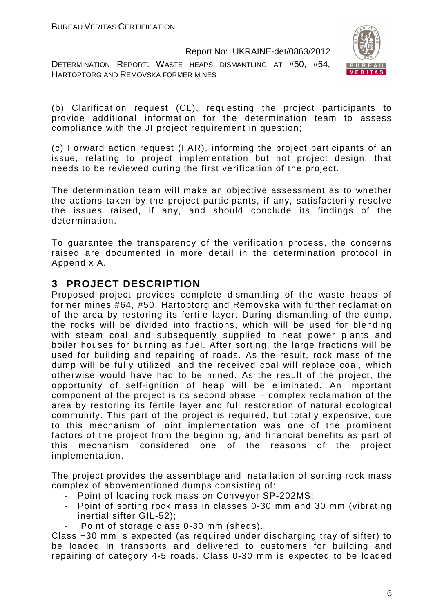DETERMINATION REPORT: WASTE HEAPS DISMANTLING AT #50, #64, HARTOPTORG AND REMOVSKA FORMER MINES



(b) Clarification request (CL), requesting the project participants to provide additional information for the determination team to assess compliance with the JI project requirement in question;

(c) Forward action request (FAR), informing the project participants of an issue, relating to project implementation but not project design, that needs to be reviewed during the first verification of the project.

The determination team will make an objective assessment as to whether the actions taken by the project participants, if any, satisfactorily resolve the issues raised, if any, and should conclude its findings of the determination.

To guarantee the transparency of the verification process, the concerns raised are documented in more detail in the determination protocol in Appendix A.

# **3 PROJECT DESCRIPTION**

Proposed project provides complete dismantling of the waste heaps of former mines #64, #50, Hartoptorg and Removska with further reclamation of the area by restoring its fertile layer. During dismantling of the dump, the rocks will be divided into fractions, which will be used for blending with steam coal and subsequently supplied to heat power plants and boiler houses for burning as fuel. After sorting, the large fractions will be used for building and repairing of roads. As the result, rock mass of the dump will be fully utilized, and the received coal will replace coal, which otherwise would have had to be mined. As the result of the project, the opportunity of self-ignition of heap will be eliminated. An important component of the project is its second phase – complex reclamation of the area by restoring its fertile layer and full restoration of natural ecological community. This part of the project is required, but totally expensive, due to this mechanism of joint implementation was one of the prominent factors of the project from the beginning, and financial benefits as part of this mechanism considered one of the reasons of the project implementation.

The project provides the assemblage and installation of sorting rock mass complex of abovementioned dumps consisting of:

- Point of loading rock mass on Conveyor SP-202MS;
- Point of sorting rock mass in classes 0-30 mm and 30 mm (vibrating inertial sifter GIL-52);
- Point of storage class 0-30 mm (sheds).

Class +30 mm is expected (as required under discharging tray of sifter) to be loaded in transports and delivered to customers for building and repairing of category 4-5 roads. Class 0-30 mm is expected to be loaded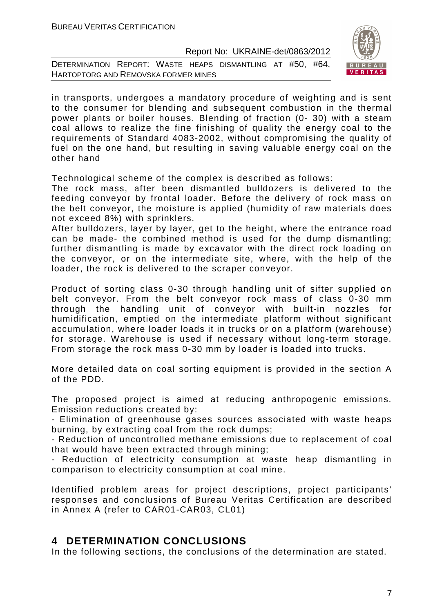DETERMINATION REPORT: WASTE HEAPS DISMANTLING AT #50, #64, HARTOPTORG AND REMOVSKA FORMER MINES



in transports, undergoes a mandatory procedure of weighting and is sent to the consumer for blending and subsequent combustion in the thermal power plants or boiler houses. Blending of fraction (0- 30) with a steam coal allows to realize the fine finishing of quality the energy coal to the requirements of Standard 4083-2002, without compromising the quality of fuel on the one hand, but resulting in saving valuable energy coal on the other hand

Technological scheme of the complex is described as follows:

The rock mass, after been dismantled bulldozers is delivered to the feeding conveyor by frontal loader. Before the delivery of rock mass on the belt conveyor, the moisture is applied (humidity of raw materials does not exceed 8%) with sprinklers.

After bulldozers, layer by layer, get to the height, where the entrance road can be made- the combined method is used for the dump dismantling; further dismantling is made by excavator with the direct rock loading on the conveyor, or on the intermediate site, where, with the help of the loader, the rock is delivered to the scraper conveyor.

Product of sorting class 0-30 through handling unit of sifter supplied on belt conveyor. From the belt conveyor rock mass of class 0-30 mm through the handling unit of conveyor with built-in nozzles for humidification, emptied on the intermediate platform without significant accumulation, where loader loads it in trucks or on a platform (warehouse) for storage. Warehouse is used if necessary without long-term storage. From storage the rock mass 0-30 mm by loader is loaded into trucks.

More detailed data on coal sorting equipment is provided in the section A of the PDD.

The proposed project is aimed at reducing anthropogenic emissions. Emission reductions created by:

- Elimination of greenhouse gases sources associated with waste heaps burning, by extracting coal from the rock dumps;

- Reduction of uncontrolled methane emissions due to replacement of coal that would have been extracted through mining;

- Reduction of electricity consumption at waste heap dismantling in comparison to electricity consumption at coal mine.

Identified problem areas for project descriptions, project participants' responses and conclusions of Bureau Veritas Certification are described in Annex A (refer to CAR01-CAR03, CL01)

# **4 DETERMINATION CONCLUSIONS**

In the following sections, the conclusions of the determination are stated.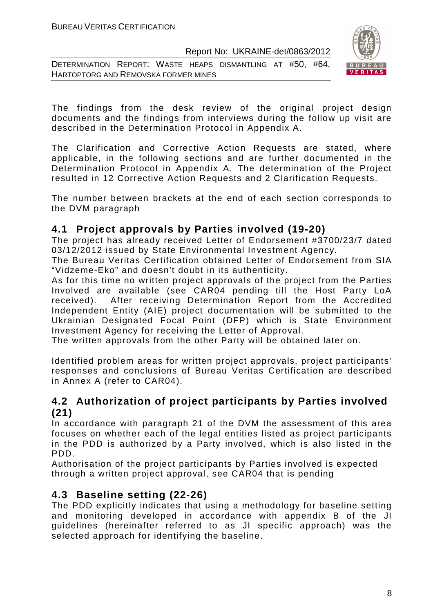DETERMINATION REPORT: WASTE HEAPS DISMANTLING AT #50, #64, HARTOPTORG AND REMOVSKA FORMER MINES



The findings from the desk review of the original project design documents and the findings from interviews during the follow up visit are described in the Determination Protocol in Appendix A.

The Clarification and Corrective Action Requests are stated, where applicable, in the following sections and are further documented in the Determination Protocol in Appendix A. The determination of the Project resulted in 12 Corrective Action Requests and 2 Clarification Requests.

The number between brackets at the end of each section corresponds to the DVM paragraph

# **4.1 Project approvals by Parties involved (19-20)**

The project has already received Letter of Endorsement #3700/23/7 dated 03/12/2012 issued by State Environmental Investment Agency.

The Bureau Veritas Certification obtained Letter of Endorsement from SIA "Vidzeme-Eko" and doesn't doubt in its authenticity.

As for this time no written project approvals of the project from the Parties Involved are available (see CAR04 pending till the Host Party LoA received). After receiving Determination Report from the Accredited Independent Entity (AIE) project documentation will be submitted to the Ukrainian Designated Focal Point (DFP) which is State Environment Investment Agency for receiving the Letter of Approval.

The written approvals from the other Party will be obtained later on.

Identified problem areas for written project approvals, project participants' responses and conclusions of Bureau Veritas Certification are described in Annex A (refer to CAR04).

# **4.2 Authorization of project participants by Parties involved (21)**

In accordance with paragraph 21 of the DVM the assessment of this area focuses on whether each of the legal entities listed as project participants in the PDD is authorized by a Party involved, which is also listed in the PDD.

Authorisation of the project participants by Parties involved is expected through a written project approval, see CAR04 that is pending

# **4.3 Baseline setting (22-26)**

The PDD explicitly indicates that using a methodology for baseline setting and monitoring developed in accordance with appendix B of the JI guidelines (hereinafter referred to as JI specific approach) was the selected approach for identifying the baseline.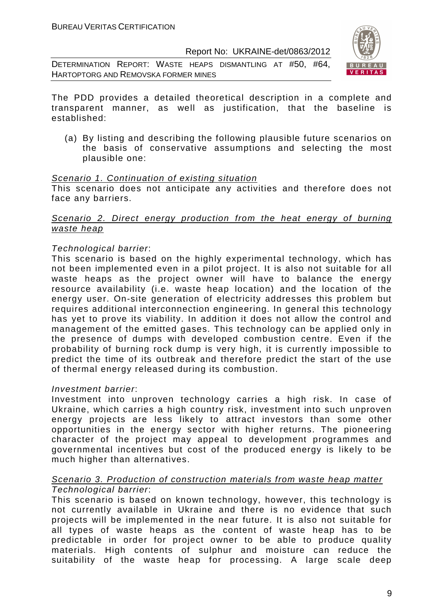DETERMINATION REPORT: WASTE HEAPS DISMANTLING AT #50, #64, HARTOPTORG AND REMOVSKA FORMER MINES



The PDD provides a detailed theoretical description in a complete and transparent manner, as well as justification, that the baseline is established:

(a) By listing and describing the following plausible future scenarios on the basis of conservative assumptions and selecting the most plausible one:

#### Scenario 1. Continuation of existing situation

This scenario does not anticipate any activities and therefore does not face any barriers.

#### Scenario 2. Direct energy production from the heat energy of burning waste heap

#### Technological barrier:

This scenario is based on the highly experimental technology, which has not been implemented even in a pilot project. It is also not suitable for all waste heaps as the project owner will have to balance the energy resource availability (i.e. waste heap location) and the location of the energy user. On-site generation of electricity addresses this problem but requires additional interconnection engineering. In general this technology has yet to prove its viability. In addition it does not allow the control and management of the emitted gases. This technology can be applied only in the presence of dumps with developed combustion centre. Even if the probability of burning rock dump is very high, it is currently impossible to predict the time of its outbreak and therefore predict the start of the use of thermal energy released during its combustion.

#### Investment barrier:

Investment into unproven technology carries a high risk. In case of Ukraine, which carries a high country risk, investment into such unproven energy projects are less likely to attract investors than some other opportunities in the energy sector with higher returns. The pioneering character of the project may appeal to development programmes and governmental incentives but cost of the produced energy is likely to be much higher than alternatives.

#### Scenario 3. Production of construction materials from waste heap matter Technological barrier:

This scenario is based on known technology, however, this technology is not currently available in Ukraine and there is no evidence that such projects will be implemented in the near future. It is also not suitable for all types of waste heaps as the content of waste heap has to be predictable in order for project owner to be able to produce quality materials. High contents of sulphur and moisture can reduce the suitability of the waste heap for processing. A large scale deep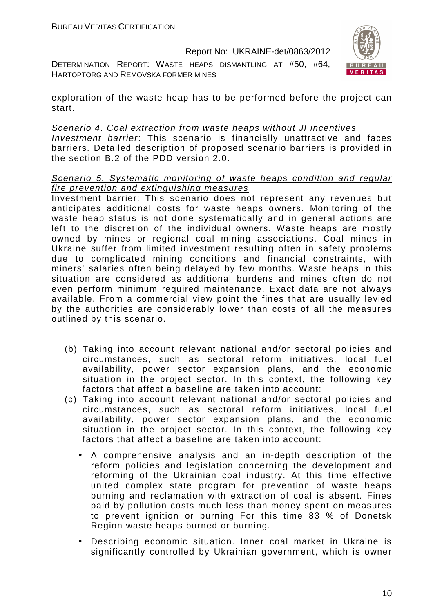DETERMINATION REPORT: WASTE HEAPS DISMANTLING AT #50, #64, HARTOPTORG AND REMOVSKA FORMER MINES



exploration of the waste heap has to be performed before the project can start.

#### Scenario 4. Coal extraction from waste heaps without JI incentives

Investment barrier: This scenario is financially unattractive and faces barriers. Detailed description of proposed scenario barriers is provided in the section B.2 of the PDD version 2.0.

#### Scenario 5. Systematic monitoring of waste heaps condition and regular fire prevention and extinguishing measures

Investment barrier: This scenario does not represent any revenues but anticipates additional costs for waste heaps owners. Monitoring of the waste heap status is not done systematically and in general actions are left to the discretion of the individual owners. Waste heaps are mostly owned by mines or regional coal mining associations. Coal mines in Ukraine suffer from limited investment resulting often in safety problems due to complicated mining conditions and financial constraints, with miners' salaries often being delayed by few months. Waste heaps in this situation are considered as additional burdens and mines often do not even perform minimum required maintenance. Exact data are not always available. From a commercial view point the fines that are usually levied by the authorities are considerably lower than costs of all the measures outlined by this scenario.

- (b) Taking into account relevant national and/or sectoral policies and circumstances, such as sectoral reform initiatives, local fuel availability, power sector expansion plans, and the economic situation in the project sector. In this context, the following key factors that affect a baseline are taken into account:
- (c) Taking into account relevant national and/or sectoral policies and circumstances, such as sectoral reform initiatives, local fuel availability, power sector expansion plans, and the economic situation in the project sector. In this context, the following key factors that affect a baseline are taken into account:
	- A comprehensive analysis and an in-depth description of the reform policies and legislation concerning the development and reforming of the Ukrainian coal industry. At this time effective united complex state program for prevention of waste heaps burning and reclamation with extraction of coal is absent. Fines paid by pollution costs much less than money spent on measures to prevent ignition or burning For this time 83 % of Donetsk Region waste heaps burned or burning.
	- Describing economic situation. Inner coal market in Ukraine is significantly controlled by Ukrainian government, which is owner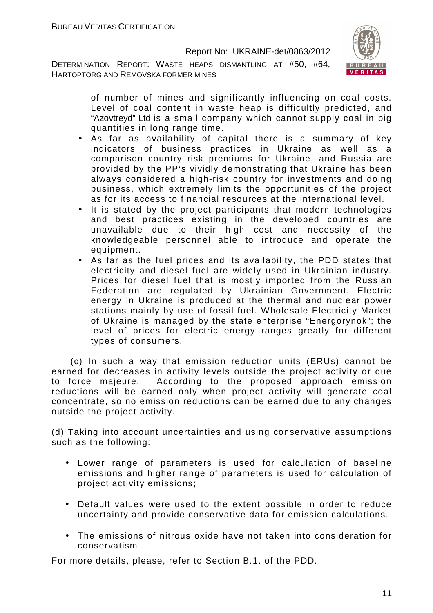DETERMINATION REPORT: WASTE HEAPS DISMANTLING AT #50, #64, HARTOPTORG AND REMOVSKA FORMER MINES



of number of mines and significantly influencing on coal costs. Level of coal content in waste heap is difficultly predicted, and "Azovtreyd" Ltd is a small company which cannot supply coal in big quantities in long range time.

- As far as availability of capital there is a summary of key indicators of business practices in Ukraine as well as a comparison country risk premiums for Ukraine, and Russia are provided by the PP's vividly demonstrating that Ukraine has been always considered a high-risk country for investments and doing business, which extremely limits the opportunities of the project as for its access to financial resources at the international level.
- It is stated by the project participants that modern technologies and best practices existing in the developed countries are unavailable due to their high cost and necessity of the knowledgeable personnel able to introduce and operate the equipment.
- As far as the fuel prices and its availability, the PDD states that electricity and diesel fuel are widely used in Ukrainian industry. Prices for diesel fuel that is mostly imported from the Russian Federation are regulated by Ukrainian Government. Electric energy in Ukraine is produced at the thermal and nuclear power stations mainly by use of fossil fuel. Wholesale Electricity Market of Ukraine is managed by the state enterprise "Energorynok"; the level of prices for electric energy ranges greatly for different types of consumers.

 (c) In such a way that emission reduction units (ERUs) cannot be earned for decreases in activity levels outside the project activity or due to force majeure. According to the proposed approach emission reductions will be earned only when project activity will generate coal concentrate, so no emission reductions can be earned due to any changes outside the project activity.

(d) Taking into account uncertainties and using conservative assumptions such as the following:

- Lower range of parameters is used for calculation of baseline emissions and higher range of parameters is used for calculation of project activity emissions;
- Default values were used to the extent possible in order to reduce uncertainty and provide conservative data for emission calculations.
- The emissions of nitrous oxide have not taken into consideration for conservatism

For more details, please, refer to Section B.1. of the PDD.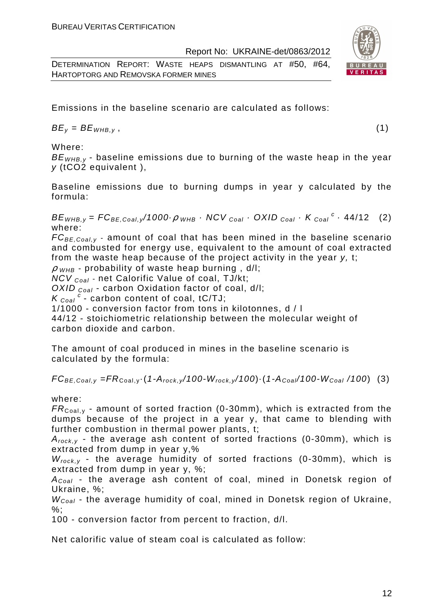DETERMINATION REPORT: WASTE HEAPS DISMANTLING AT #50, #64, HARTOPTORG AND REMOVSKA FORMER MINES

Emissions in the baseline scenario are calculated as follows:

 $BE_v = BE_{WHB.v}$ , (1)

Where:

 $BE<sub>WHRV</sub>$  - baseline emissions due to burning of the waste heap in the year y (tCO2 equivalent ),

Baseline emissions due to burning dumps in year y calculated by the formula:

 $BE_{WHB,y} = FC_{BE,Coal,y}/1000 \cdot \rho$  whb  $\cdot$  NCV  $_{Coal} \cdot$  OXID  $_{Coal} \cdot K_{Coal}^c \cdot 44/12$  (2) where:

 $FC_{BE, coal,v}$  - amount of coal that has been mined in the baseline scenario and combusted for energy use, equivalent to the amount of coal extracted from the waste heap because of the project activity in the year y, t;

 $\rho$  w<sub>HB</sub> - probability of waste heap burning, d/l;

 $NCV_{Coal}$  - net Calorific Value of coal, TJ/kt;

OXID  $_{Coal}$  - carbon Oxidation factor of coal, d/l;

 $K_{\text{Coal}}^c$  - carbon content of coal, tC/TJ;

1/1000 - conversion factor from tons in kilotonnes, d / l

44/12 - stoichiometric relationship between the molecular weight of carbon dioxide and carbon.

The amount of coal produced in mines in the baseline scenario is calculated by the formula:

 $FC_{BE,Coal,v} = FR_{Coal,v} \cdot (1-A_{rock,v}/100-W_{rock,v}/100) \cdot (1-A_{Coal}/100-W_{Coal}/100)$  (3)

where:

 $FR_{\text{Coal,v}}$  - amount of sorted fraction (0-30mm), which is extracted from the dumps because of the project in a year y, that came to blending with further combustion in thermal power plants, t;

 $A_{rock, v}$  - the average ash content of sorted fractions (0-30mm), which is extracted from dump in year y,%

 $W_{rock, v}$  - the average humidity of sorted fractions (0-30mm), which is extracted from dump in year y, %;

 $A_{Coal}$  - the average ash content of coal, mined in Donetsk region of Ukraine, %;

 $W_{Coal}$  - the average humidity of coal, mined in Donetsk region of Ukraine,  $\%$ :

100 - conversion factor from percent to fraction, d/l.

Net calorific value of steam coal is calculated as follow:

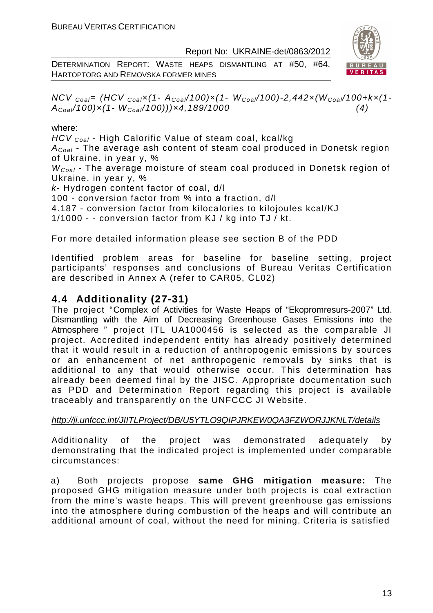DETERMINATION REPORT: WASTE HEAPS DISMANTLING AT #50, #64, HARTOPTORG AND REMOVSKA FORMER MINES



 $NCV_{Coal} = (HCV_{Coal}x(1-A_{Coal}/100)x(1-W_{Coal}/100)-2,442x(W_{Coal}/100+kx(1-W_{Coal}))/2,$  $A_{Coal}/100) \times (1-W_{Coal}/100)) \times 4,189/1000$  (4)

#### where:

HCV <sub>Coal</sub> - High Calorific Value of steam coal, kcal/kg

 $A_{Coal}$  - The average ash content of steam coal produced in Donetsk region of Ukraine, in year y, %

W<sub>Coal</sub> - The average moisture of steam coal produced in Donetsk region of Ukraine, in year y, %

k- Hydrogen content factor of coal, d/l

100 - conversion factor from % into a fraction, d/l

4.187 - conversion factor from kilocalories to kilojoules kcal/KJ

1/1000 - - conversion factor from KJ / kg into TJ / kt.

For more detailed information please see section B of the PDD

Identified problem areas for baseline for baseline setting, project participants' responses and conclusions of Bureau Veritas Certification are described in Annex A (refer to CAR05, СL02)

# **4.4 Additionality (27-31)**

The project "Complex of Activities for Waste Heaps of "Ekopromresurs-2007" Ltd. Dismantling with the Aim of Decreasing Greenhouse Gases Emissions into the Atmosphere " project ITL UA1000456 is selected as the comparable JI project. Accredited independent entity has already positively determined that it would result in a reduction of anthropogenic emissions by sources or an enhancement of net anthropogenic removals by sinks that is additional to any that would otherwise occur. This determination has already been deemed final by the JISC. Appropriate documentation such as PDD and Determination Report regarding this project is available traceably and transparently on the UNFCCC JI Website.

#### http://ji.unfccc.int/JIITLProject/DB/U5YTLO9QIPJRKEW0QA3FZWORJJKNLT/details

Additionality of the project was demonstrated adequately by demonstrating that the indicated project is implemented under comparable circumstances:

a) Both projects propose **same GHG mitigation measure:** The proposed GHG mitigation measure under both projects is coal extraction from the mine's waste heaps. This will prevent greenhouse gas emissions into the atmosphere during combustion of the heaps and will contribute an additional amount of coal, without the need for mining. Criteria is satisfied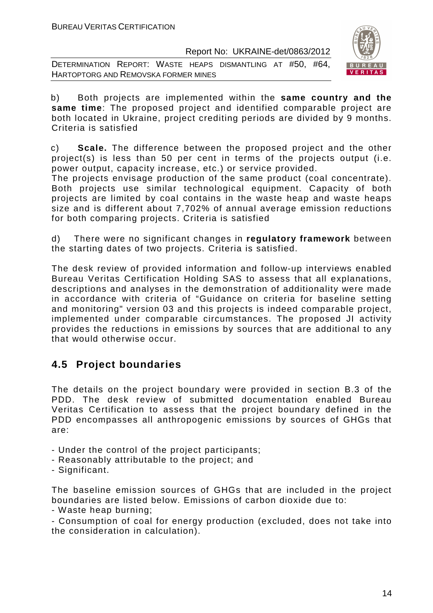DETERMINATION REPORT: WASTE HEAPS DISMANTLING AT #50, #64, HARTOPTORG AND REMOVSKA FORMER MINES



b) Both projects are implemented within the **same country and the same time**: The proposed project and identified comparable project are both located in Ukraine, project crediting periods are divided by 9 months. Criteria is satisfied

c) **Scale.** The difference between the proposed project and the other project(s) is less than 50 per cent in terms of the projects output (i.e. power output, capacity increase, etc.) or service provided.

The projects envisage production of the same product (coal concentrate). Both projects use similar technological equipment. Capacity of both projects are limited by coal contains in the waste heap and waste heaps size and is different about 7,702% of annual average emission reductions for both comparing projects. Criteria is satisfied

d) There were no significant changes in **regulatory framework** between the starting dates of two projects. Criteria is satisfied.

The desk review of provided information and follow-up interviews enabled Bureau Veritas Certification Holding SAS to assess that all explanations, descriptions and analyses in the demonstration of additionality were made in accordance with criteria of "Guidance on criteria for baseline setting and monitoring" version 03 and this projects is indeed comparable project, implemented under comparable circumstances. The proposed JI activity provides the reductions in emissions by sources that are additional to any that would otherwise occur.

# **4.5 Project boundaries**

The details on the project boundary were provided in section B.3 of the PDD. The desk review of submitted documentation enabled Bureau Veritas Certification to assess that the project boundary defined in the PDD encompasses all anthropogenic emissions by sources of GHGs that are:

- Under the control of the project participants;
- Reasonably attributable to the project; and
- Significant.

The baseline emission sources of GHGs that are included in the project boundaries are listed below. Emissions of carbon dioxide due to:

- Waste heap burning;

- Consumption of coal for energy production (excluded, does not take into the consideration in calculation).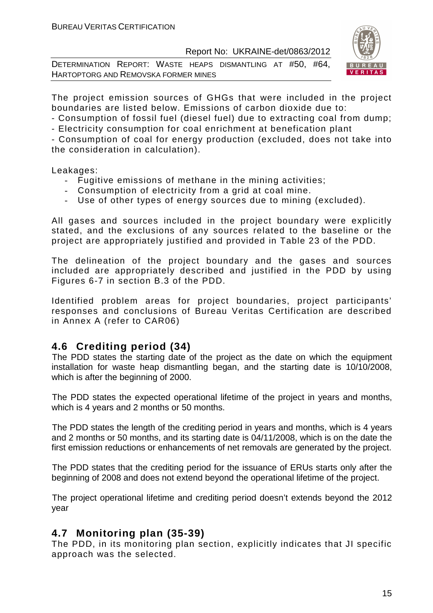DETERMINATION REPORT: WASTE HEAPS DISMANTLING AT #50, #64, HARTOPTORG AND REMOVSKA FORMER MINES



The project emission sources of GHGs that were included in the project boundaries are listed below. Emissions of carbon dioxide due to:

- Consumption of fossil fuel (diesel fuel) due to extracting coal from dump;

- Electricity consumption for coal enrichment at benefication plant

- Consumption of coal for energy production (excluded, does not take into the consideration in calculation).

Leakages:

- Fugitive emissions of methane in the mining activities;
- Consumption of electricity from a grid at coal mine.
- Use of other types of energy sources due to mining (excluded).

All gases and sources included in the project boundary were explicitly stated, and the exclusions of any sources related to the baseline or the project are appropriately justified and provided in Table 23 of the PDD.

The delineation of the project boundary and the gases and sources included are appropriately described and justified in the PDD by using Figures 6-7 in section B.3 of the PDD.

Identified problem areas for project boundaries, project participants' responses and conclusions of Bureau Veritas Certification are described in Annex A (refer to CAR06)

# **4.6 Crediting period (34)**

The PDD states the starting date of the project as the date on which the equipment installation for waste heap dismantling began, and the starting date is 10/10/2008, which is after the beginning of 2000.

The PDD states the expected operational lifetime of the project in years and months, which is 4 years and 2 months or 50 months.

The PDD states the length of the crediting period in years and months, which is 4 years and 2 months or 50 months, and its starting date is 04/11/2008, which is on the date the first emission reductions or enhancements of net removals are generated by the project.

The PDD states that the crediting period for the issuance of ERUs starts only after the beginning of 2008 and does not extend beyond the operational lifetime of the project.

The project operational lifetime and crediting period doesn't extends beyond the 2012 year

# **4.7 Monitoring plan (35-39)**

The PDD, in its monitoring plan section, explicitly indicates that JI specific approach was the selected.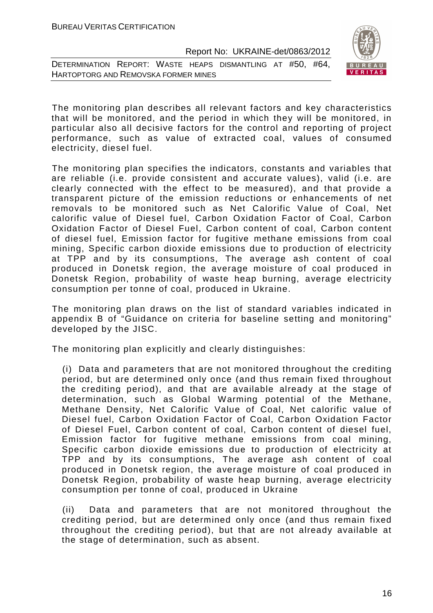DETERMINATION REPORT: WASTE HEAPS DISMANTLING AT #50, #64, HARTOPTORG AND REMOVSKA FORMER MINES



The monitoring plan describes all relevant factors and key characteristics that will be monitored, and the period in which they will be monitored, in particular also all decisive factors for the control and reporting of project performance, such as value of extracted coal, values of consumed electricity, diesel fuel.

The monitoring plan specifies the indicators, constants and variables that are reliable (i.e. provide consistent and accurate values), valid (i.e. are clearly connected with the effect to be measured), and that provide a transparent picture of the emission reductions or enhancements of net removals to be monitored such as Net Calorific Value of Coal, Net calorific value of Diesel fuel, Carbon Oxidation Factor of Coal, Carbon Oxidation Factor of Diesel Fuel, Carbon content of coal, Carbon content of diesel fuel, Emission factor for fugitive methane emissions from coal mining, Specific carbon dioxide emissions due to production of electricity at TPP and by its consumptions, The average ash content of coal produced in Donetsk region, the average moisture of coal produced in Donetsk Region, probability of waste heap burning, average electricity consumption per tonne of coal, produced in Ukraine.

The monitoring plan draws on the list of standard variables indicated in appendix B of "Guidance on criteria for baseline setting and monitoring" developed by the JISC.

The monitoring plan explicitly and clearly distinguishes:

(i) Data and parameters that are not monitored throughout the crediting period, but are determined only once (and thus remain fixed throughout the crediting period), and that are available already at the stage of determination, such as Global Warming potential of the Methane, Methane Density, Net Calorific Value of Coal, Net calorific value of Diesel fuel, Carbon Oxidation Factor of Coal, Carbon Oxidation Factor of Diesel Fuel, Carbon content of coal, Carbon content of diesel fuel, Emission factor for fugitive methane emissions from coal mining, Specific carbon dioxide emissions due to production of electricity at TPP and by its consumptions, The average ash content of coal produced in Donetsk region, the average moisture of coal produced in Donetsk Region, probability of waste heap burning, average electricity consumption per tonne of coal, produced in Ukraine

(ii) Data and parameters that are not monitored throughout the crediting period, but are determined only once (and thus remain fixed throughout the crediting period), but that are not already available at the stage of determination, such as absent.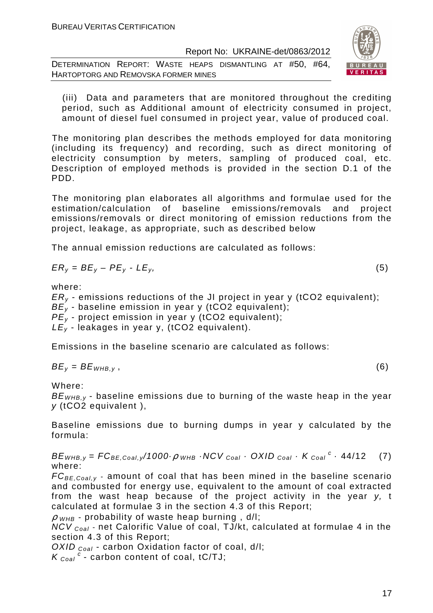DETERMINATION REPORT: WASTE HEAPS DISMANTLING AT #50, #64, HARTOPTORG AND REMOVSKA FORMER MINES



(iii) Data and parameters that are monitored throughout the crediting period, such as Additional amount of electricity consumed in project, amount of diesel fuel consumed in project year, value of produced coal.

The monitoring plan describes the methods employed for data monitoring (including its frequency) and recording, such as direct monitoring of electricity consumption by meters, sampling of produced coal, etc. Description of employed methods is provided in the section D.1 of the PDD.

The monitoring plan elaborates all algorithms and formulae used for the estimation/calculation of baseline emissions/removals and project emissions/removals or direct monitoring of emission reductions from the project, leakage, as appropriate, such as described below

The annual emission reductions are calculated as follows:

$$
ER_y = BE_y - PE_y - LE_y, \tag{5}
$$

where:

 $ER<sub>v</sub>$  - emissions reductions of the JI project in year y (tCO2 equivalent);

 $BE<sub>v</sub>$  - baseline emission in year y (tCO2 equivalent);

 $PE<sub>v</sub>$  - project emission in year y (tCO2 equivalent);

 $LE_v$  - leakages in year y, (tCO2 equivalent).

Emissions in the baseline scenario are calculated as follows:

$$
BE_y = BE_{WHB,y},\tag{6}
$$

Where:

 $BE<sub>WHB,v</sub>$  - baseline emissions due to burning of the waste heap in the year y (tCO2 equivalent ),

Baseline emissions due to burning dumps in year y calculated by the formula:

 $BE_{WHB,y} = FC_{BE,Coal,y}/1000 \cdot \rho$  whe  $\cdot$  NCV  $_{Coal} \cdot$  OXID  $_{Coal} \cdot K_{Coal}^c \cdot 44/12$  (7) where:

 $FC_{BE, coal,v}$  - amount of coal that has been mined in the baseline scenario and combusted for energy use, equivalent to the amount of coal extracted from the wast heap because of the project activity in the year y, t calculated at formulae 3 in the section 4.3 of this Report;

 $\rho$  <sub>WHB</sub> - probability of waste heap burning, d/l;

 $NCV_{Coal}$  - net Calorific Value of coal, TJ/kt, calculated at formulae 4 in the section 4.3 of this Report;

OXID  $_{Coal}$  - carbon Oxidation factor of coal, d/l;

 $K_{\text{Coal}}^c$  - carbon content of coal, tC/TJ;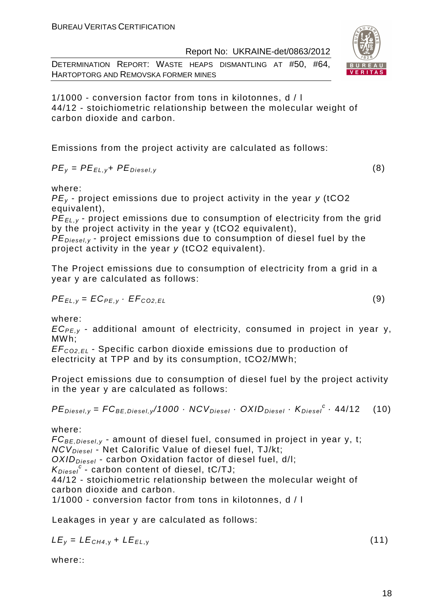DETERMINATION REPORT: WASTE HEAPS DISMANTLING AT #50, #64, HARTOPTORG AND REMOVSKA FORMER MINES

1/1000 - conversion factor from tons in kilotonnes, d / l 44/12 - stoichiometric relationship between the molecular weight of carbon dioxide and carbon.

Emissions from the project activity are calculated as follows:

$$
PE_{y} = PE_{EL,y} + PE_{Diesel,y}
$$
 (8)

where:

 $PE<sub>v</sub>$  - project emissions due to project activity in the year y (tCO2 equivalent),

PE*Е*L,y - project emissions due to consumption of electricity from the grid by the project activity in the year y (tCO2 equivalent),

 $PE_{\text{Diagonal}}$ , project emissions due to consumption of diesel fuel by the project activity in the year y (tCO2 equivalent).

The Project emissions due to consumption of electricity from a grid in a year y are calculated as follows:

$$
PE_{EL,y} = EC_{PE,y} \cdot EF_{CO2,EL}
$$
 (9)

where:

 $EC_{PE,v}$  - additional amount of electricity, consumed in project in year y, MWh;

EF<sup>C</sup>*О*2,EL - Specific carbon dioxide emissions due to production of electricity at TPP and by its consumption, tCO2/MWh;

Project emissions due to consumption of diesel fuel by the project activity in the year y are calculated as follows:

$$
PE_{\text{Diesel}, y} = FC_{BE, \text{Diesel}, y} / 1000 \cdot NCV_{\text{Diesel}} \cdot OXID_{\text{Diesel}} \cdot K_{\text{Diesel}}^c \cdot 44 / 12 \quad (10)
$$

where:

 $FC_{BE, Diesel, y}$  - amount of diesel fuel, consumed in project in year y, t;  $NCV_{Diesel}$  - Net Calorific Value of diesel fuel, TJ/kt;  $OXID<sub>Diesel</sub>$  - carbon Oxidation factor of diesel fuel, d/l;  $K_{Diesel}^c$  - carbon content of diesel, tC/TJ; 44/12 - stoichiometric relationship between the molecular weight of carbon dioxide and carbon. 1/1000 - conversion factor from tons in kilotonnes, d / l

Leakages in year y are calculated as follows:

 $LE_y = LE_{CH4,y} + LE_{EL,y}$  (11)

where::

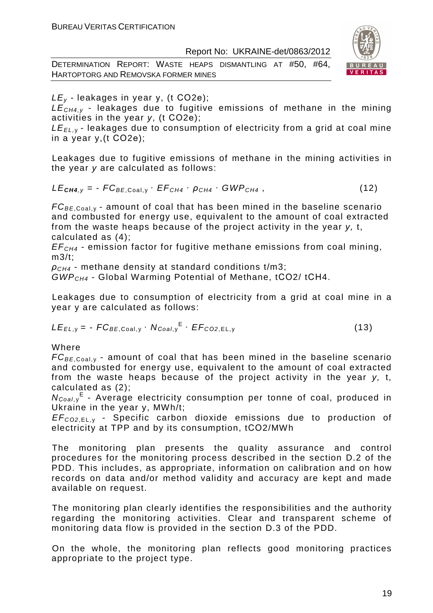DETERMINATION REPORT: WASTE HEAPS DISMANTLING AT #50, #64, HARTOPTORG AND REMOVSKA FORMER MINES



 $LE<sub>v</sub>$  - leakages in year y, (t CO2e);

 $LE_{CH4y}$  - leakages due to fugitive emissions of methane in the mining activities in the year y, (t СО2е);

 $LE_{EL, y}$  - leakages due to consumption of electricity from a grid at coal mine in a year y,(t СО2е);

Leakages due to fugitive emissions of methane in the mining activities in the year y are calculated as follows:

$$
LE_{\text{CH4},y} = -FC_{BE,Coal,y} \cdot EF_{CH4} \cdot \rho_{CH4} \cdot GWP_{CH4}, \qquad (12)
$$

 $FC_{BE, coal,v}$  - amount of coal that has been mined in the baseline scenario and combusted for energy use, equivalent to the amount of coal extracted from the waste heaps because of the project activity in the year y, t, calculated as (4);

 $EF<sub>CH4</sub>$  - emission factor for fugitive methane emissions from coal mining, m3/t;

 $\rho_{CH4}$  - methane density at standard conditions t/m3;

GWPCH4 - Global Warming Potential of Methane, tСО2/ tСН4.

Leakages due to consumption of electricity from a grid at coal mine in a year y are calculated as follows:

$$
LE_{EL,y} = -FC_{BE,Coal,y} \cdot N_{Coal,y}^{E} \cdot EF_{CO2,EL,y}
$$
 (13)

Where

 $FC_{BE,Coal,v}$  - amount of coal that has been mined in the baseline scenario and combusted for energy use, equivalent to the amount of coal extracted from the waste heaps because of the project activity in the year y, t, calculated as (2);

N<sub>Coal,y</sub><sup>E</sup> - Average electricity consumption per tonne of coal, produced in Ukraine in the year y, MWh/t;

EF<sup>C</sup>*О*2,EL, <sup>у</sup> - Specific carbon dioxide emissions due to production of electricity at TPP and by its consumption, tСО2/MWh

The monitoring plan presents the quality assurance and control procedures for the monitoring process described in the section D.2 of the PDD. This includes, as appropriate, information on calibration and on how records on data and/or method validity and accuracy are kept and made available on request.

The monitoring plan clearly identifies the responsibilities and the authority regarding the monitoring activities. Clear and transparent scheme of monitoring data flow is provided in the section D.3 of the PDD.

On the whole, the monitoring plan reflects good monitoring practices appropriate to the project type.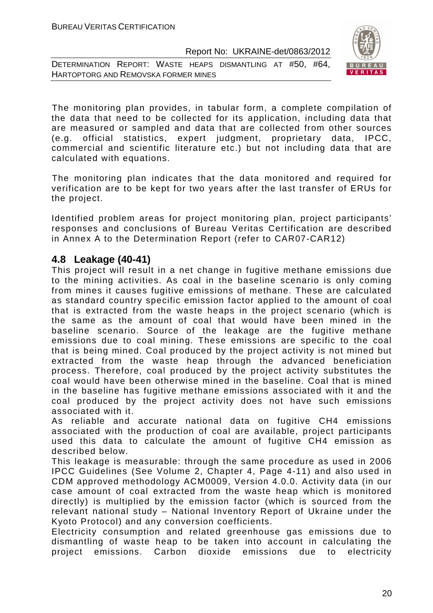DETERMINATION REPORT: WASTE HEAPS DISMANTLING AT #50, #64, HARTOPTORG AND REMOVSKA FORMER MINES



The monitoring plan provides, in tabular form, a complete compilation of the data that need to be collected for its application, including data that are measured or sampled and data that are collected from other sources (e.g. official statistics, expert judgment, proprietary data, IPCC, commercial and scientific literature etc.) but not including data that are calculated with equations.

The monitoring plan indicates that the data monitored and required for verification are to be kept for two years after the last transfer of ERUs for the project.

Identified problem areas for project monitoring plan, project participants' responses and conclusions of Bureau Veritas Certification are described in Annex A to the Determination Report (refer to CAR07-CAR12)

### **4.8 Leakage (40-41)**

This project will result in a net change in fugitive methane emissions due to the mining activities. As coal in the baseline scenario is only coming from mines it causes fugitive emissions of methane. These are calculated as standard country specific emission factor applied to the amount of coal that is extracted from the waste heaps in the project scenario (which is the same as the amount of coal that would have been mined in the baseline scenario. Source of the leakage are the fugitive methane emissions due to coal mining. These emissions are specific to the coal that is being mined. Coal produced by the project activity is not mined but extracted from the waste heap through the advanced beneficiation process. Therefore, coal produced by the project activity substitutes the coal would have been otherwise mined in the baseline. Coal that is mined in the baseline has fugitive methane emissions associated with it and the coal produced by the project activity does not have such emissions associated with it.

As reliable and accurate national data on fugitive CH4 emissions associated with the production of coal are available, project participants used this data to calculate the amount of fugitive CH4 emission as described below.

This leakage is measurable: through the same procedure as used in 2006 IPCC Guidelines (See Volume 2, Chapter 4, Page 4-11) and also used in CDM approved methodology ACM0009, Version 4.0.0. Activity data (in our case amount of coal extracted from the waste heap which is monitored directly) is multiplied by the emission factor (which is sourced from the relevant national study – National Inventory Report of Ukraine under the Kyoto Protocol) and any conversion coefficients.

Electricity consumption and related greenhouse gas emissions due to dismantling of waste heap to be taken into account in calculating the project emissions. Carbon dioxide emissions due to electricity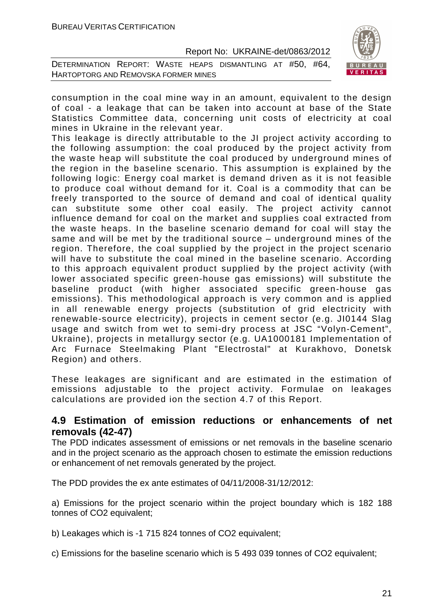DETERMINATION REPORT: WASTE HEAPS DISMANTLING AT #50, #64, HARTOPTORG AND REMOVSKA FORMER MINES



consumption in the coal mine way in an amount, equivalent to the design of coal - a leakage that can be taken into account at base of the State Statistics Committee data, concerning unit costs of electricity at coal mines in Ukraine in the relevant year.

This leakage is directly attributable to the JI project activity according to the following assumption: the coal produced by the project activity from the waste heap will substitute the coal produced by underground mines of the region in the baseline scenario. This assumption is explained by the following logic: Energy coal market is demand driven as it is not feasible to produce coal without demand for it. Coal is a commodity that can be freely transported to the source of demand and coal of identical quality can substitute some other coal easily. The project activity cannot influence demand for coal on the market and supplies coal extracted from the waste heaps. In the baseline scenario demand for coal will stay the same and will be met by the traditional source – underground mines of the region. Therefore, the coal supplied by the project in the project scenario will have to substitute the coal mined in the baseline scenario. According to this approach equivalent product supplied by the project activity (with lower associated specific green-house gas emissions) will substitute the baseline product (with higher associated specific green-house gas emissions). This methodological approach is very common and is applied in all renewable energy projects (substitution of grid electricity with renewable-source electricity), projects in cement sector (e.g. JI0144 Slag usage and switch from wet to semi-dry process at JSC "Volyn-Cement", Ukraine), projects in metallurgy sector (e.g. UA1000181 Implementation of Arc Furnace Steelmaking Plant "Electrostal" at Kurakhovo, Donetsk Region) and others.

These leakages are significant and are estimated in the estimation of emissions adjustable to the project activity. Formulae on leakages calculations are provided ion the section 4.7 of this Report.

# **4.9 Estimation of emission reductions or enhancements of net removals (42-47)**

The PDD indicates assessment of emissions or net removals in the baseline scenario and in the project scenario as the approach chosen to estimate the emission reductions or enhancement of net removals generated by the project.

The PDD provides the ex ante estimates of 04/11/2008-31/12/2012:

a) Emissions for the project scenario within the project boundary which is 182 188 tonnes of CO2 equivalent;

b) Leakages which is -1 715 824 tonnes of CO2 equivalent:

c) Emissions for the baseline scenario which is 5 493 039 tonnes of CO2 equivalent;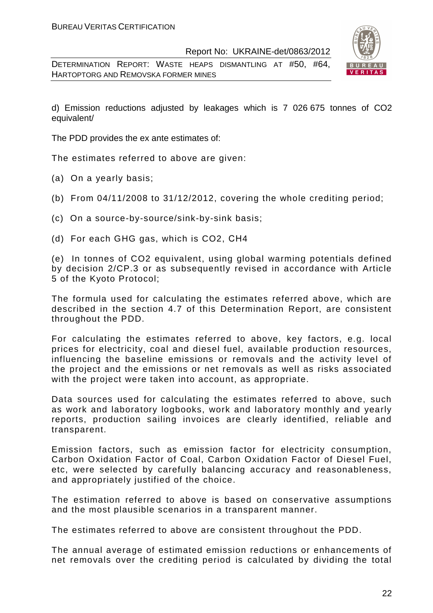DETERMINATION REPORT: WASTE HEAPS DISMANTLING AT #50, #64, HARTOPTORG AND REMOVSKA FORMER MINES



d) Emission reductions adjusted by leakages which is 7 026 675 tonnes of CO2 equivalent/

The PDD provides the ex ante estimates of:

The estimates referred to above are given:

- (a) On a yearly basis;
- (b) From 04/11/2008 to 31/12/2012, covering the whole crediting period;
- (c) On a source-by-source/sink-by-sink basis;
- (d) For each GHG gas, which is CO2, СН4

(e) In tonnes of CO2 equivalent, using global warming potentials defined by decision 2/CP.3 or as subsequently revised in accordance with Article 5 of the Kyoto Protocol;

The formula used for calculating the estimates referred above, which are described in the section 4.7 of this Determination Report, are consistent throughout the PDD.

For calculating the estimates referred to above, key factors, e.g. local prices for electricity, coal and diesel fuel, available production resources, influencing the baseline emissions or removals and the activity level of the project and the emissions or net removals as well as risks associated with the project were taken into account, as appropriate.

Data sources used for calculating the estimates referred to above, such as work and laboratory logbooks, work and laboratory monthly and yearly reports, production sailing invoices are clearly identified, reliable and transparent.

Emission factors, such as emission factor for electricity consumption, Carbon Oxidation Factor of Coal, Carbon Oxidation Factor of Diesel Fuel, etc, were selected by carefully balancing accuracy and reasonableness, and appropriately justified of the choice.

The estimation referred to above is based on conservative assumptions and the most plausible scenarios in a transparent manner.

The estimates referred to above are consistent throughout the PDD.

The annual average of estimated emission reductions or enhancements of net removals over the crediting period is calculated by dividing the total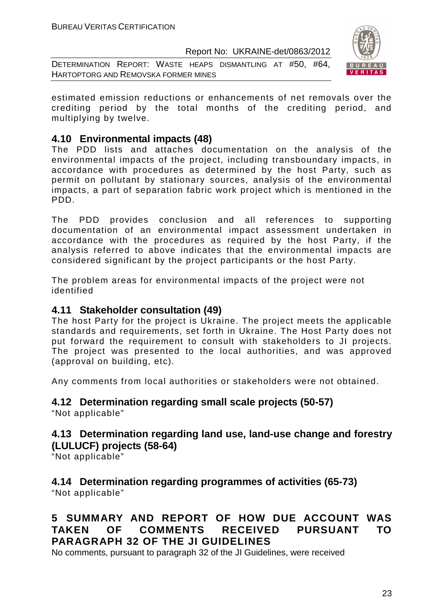DETERMINATION REPORT: WASTE HEAPS DISMANTLING AT #50, #64, HARTOPTORG AND REMOVSKA FORMER MINES



estimated emission reductions or enhancements of net removals over the crediting period by the total months of the crediting period, and multiplying by twelve.

# **4.10 Environmental impacts (48)**

The PDD lists and attaches documentation on the analysis of the environmental impacts of the project, including transboundary impacts, in accordance with procedures as determined by the host Party, such as permit on pollutant by stationary sources, analysis of the environmental impacts, a part of separation fabric work project which is mentioned in the PDD.

The PDD provides conclusion and all references to supporting documentation of an environmental impact assessment undertaken in accordance with the procedures as required by the host Party, if the analysis referred to above indicates that the environmental impacts are considered significant by the project participants or the host Party.

The problem areas for environmental impacts of the project were not identified

# **4.11 Stakeholder consultation (49)**

The host Party for the project is Ukraine. The project meets the applicable standards and requirements, set forth in Ukraine. The Host Party does not put forward the requirement to consult with stakeholders to JI projects. The project was presented to the local authorities, and was approved (approval on building, etc).

Any comments from local authorities or stakeholders were not obtained.

#### **4.12 Determination regarding small scale projects (50-57)**  "Not applicable"

# **4.13 Determination regarding land use, land-use change and forestry (LULUCF) projects (58-64)**

"Not applicable"

#### **4.14 Determination regarding programmes of activities (65-73)**  "Not applicable"

# **5 SUMMARY AND REPORT OF HOW DUE ACCOUNT WAS TAKEN OF COMMENTS RECEIVED PURSUANT TO PARAGRAPH 32 OF THE JI GUIDELINES**

No comments, pursuant to paragraph 32 of the JI Guidelines, were received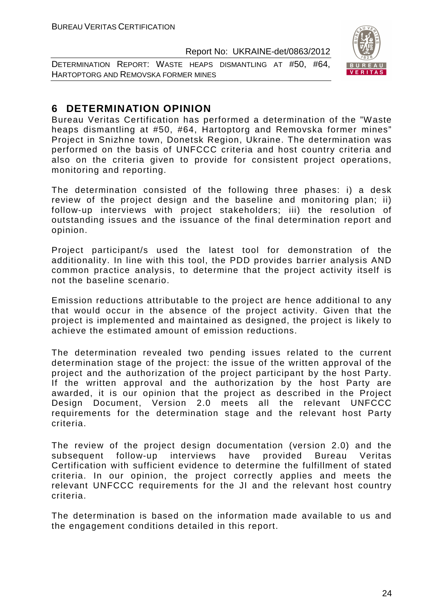DETERMINATION REPORT: WASTE HEAPS DISMANTLING AT #50, #64, HARTOPTORG AND REMOVSKA FORMER MINES



# **6 DETERMINATION OPINION**

Bureau Veritas Certification has performed a determination of the "Waste heaps dismantling at #50, #64, Hartoptorg and Removska former mines" Project in Snizhne town, Donetsk Region, Ukraine. The determination was performed on the basis of UNFCCC criteria and host country criteria and also on the criteria given to provide for consistent project operations, monitoring and reporting.

The determination consisted of the following three phases: i) a desk review of the project design and the baseline and monitoring plan; ii) follow-up interviews with project stakeholders; iii) the resolution of outstanding issues and the issuance of the final determination report and opinion.

Project participant/s used the latest tool for demonstration of the additionality. In line with this tool, the PDD provides barrier analysis AND common practice analysis, to determine that the project activity itself is not the baseline scenario.

Emission reductions attributable to the project are hence additional to any that would occur in the absence of the project activity. Given that the project is implemented and maintained as designed, the project is likely to achieve the estimated amount of emission reductions.

The determination revealed two pending issues related to the current determination stage of the project: the issue of the written approval of the project and the authorization of the project participant by the host Party. If the written approval and the authorization by the host Party are awarded, it is our opinion that the project as described in the Project Design Document, Version 2.0 meets all the relevant UNFCCC requirements for the determination stage and the relevant host Party criteria.

The review of the project design documentation (version 2.0) and the subsequent follow-up interviews have provided Bureau Veritas Certification with sufficient evidence to determine the fulfillment of stated criteria. In our opinion, the project correctly applies and meets the relevant UNFCCC requirements for the JI and the relevant host country criteria.

The determination is based on the information made available to us and the engagement conditions detailed in this report.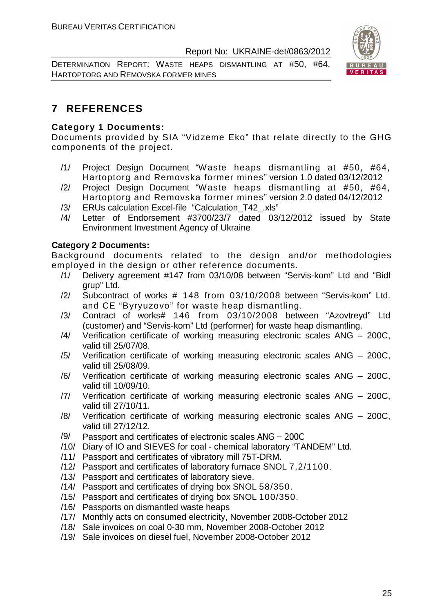DETERMINATION REPORT: WASTE HEAPS DISMANTLING AT #50, #64, HARTOPTORG AND REMOVSKA FORMER MINES



# **7 REFERENCES**

#### **Category 1 Documents:**

Documents provided by SIA "Vidzeme Eko" that relate directly to the GHG components of the project.

- /1/ Project Design Document "Waste heaps dismantling at #50, #64, Hartoptorg and Removska former mines" version 1.0 dated 03/12/2012
- /2/ Project Design Document "Waste heaps dismantling at #50, #64, Hartoptorg and Removska former mines" version 2.0 dated 04/12/2012
- /3/ ERUs calculation Excel-file "Calculation\_T42\_.xls"
- /4/ Letter of Endorsement #3700/23/7 dated 03/12/2012 issued by State Environment Investment Agency of Ukraine

#### **Category 2 Documents:**

Background documents related to the design and/or methodologies employed in the design or other reference documents.

- /1/ Delivery agreement #147 from 03/10/08 between "Servis-kom" Ltd and "Bidl grup" Ltd.
- /2/ Subcontract of works # 148 from 03/10/2008 between "Servis-kom" Ltd. and CE "Byryuzovo" for waste heap dismantling.
- /3/ Contract of works# 146 from 03/10/2008 between "Azovtreyd" Ltd (customer) and "Servis-kom" Ltd (performer) for waste heap dismantling.
- /4/ Verification certificate of working measuring electronic scales ANG 200C, valid till 25/07/08.
- /5/ Verification certificate of working measuring electronic scales ANG 200C, valid till 25/08/09.
- /6/ Verification certificate of working measuring electronic scales ANG 200C, valid till 10/09/10.
- /7/ Verification certificate of working measuring electronic scales ANG 200C, valid till 27/10/11.
- /8/ Verification certificate of working measuring electronic scales ANG 200C, valid till 27/12/12.
- /9/ Passport and certificates of electronic scales ANG 200C
- /10/ Diary of IO and SIEVES for coal chemical laboratory "TANDEM" Ltd.
- /11/ Passport and certificates of vibratory mill 75T-DRM.
- /12/ Passport and certificates of laboratory furnace SNOL 7,2/1100.
- /13/ Passport and certificates of laboratory sieve.
- /14/ Passport and certificates of drying box SNOL 58/350.
- /15/ Passport and certificates of drying box SNOL 100/350.
- /16/ Passports on dismantled waste heaps
- /17/ Monthly acts on consumed electricity, November 2008-October 2012
- /18/ Sale invoices on coal 0-30 mm, November 2008-October 2012
- /19/ Sale invoices on diesel fuel, November 2008-October 2012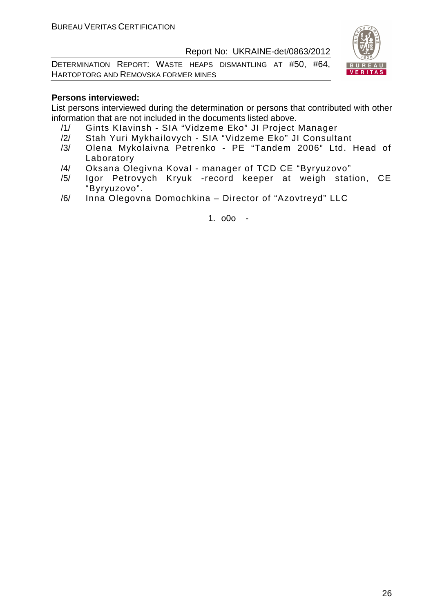DETERMINATION REPORT: WASTE HEAPS DISMANTLING AT #50, #64, HARTOPTORG AND REMOVSKA FORMER MINES



#### **Persons interviewed:**

List persons interviewed during the determination or persons that contributed with other information that are not included in the documents listed above.

- /1/ Gints KIavinsh SIA "Vidzeme Eko" JI Project Manager
- /2/ Stah Yuri Mykhailovych SIA "Vidzeme Eko" JI Consultant
- /3/ Olena Mykolaivna Petrenko PE "Tandem 2006" Ltd. Head of Laboratory
- /4/ Oksana Olegіvna Koval manager of TCD CE "Byryuzovo"
- /5/ Igor Petrovych Kryuk -record keeper at weigh station, CE "Byryuzovo".
- /6/ Inna Olegovna Domochkina Director of "Azovtreyd" LLC

1. o0o -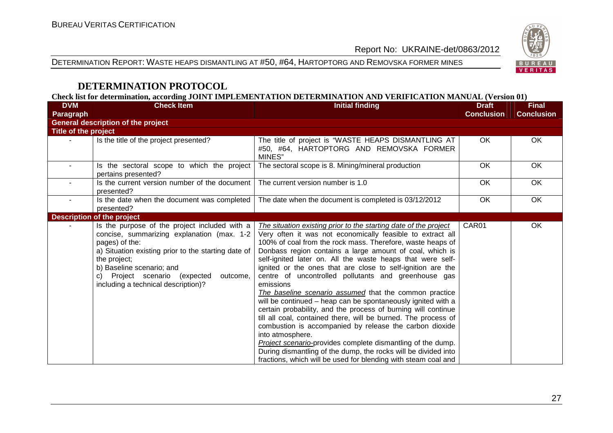#### DETERMINATION REPORT: WASTE HEAPS DISMANTLING AT #50, #64, HARTOPTORG AND REMOVSKA FORMER MINES



# **DETERMINATION PROTOCOL**

**Check list for determination, according JOINT IMPLEMENTATION DETERMINATION AND VERIFICATION MANUAL (Version 01)** 

| <b>DVM</b>           | <b>Check Item</b>                                                                                                                                                                                                                                                                                        | <b>Initial finding</b>                                                                                                                                                                                                                                                                                                                                                                                                                                                                                                                                                                                                                                                                                                                                                                                                                                                                                                                                                                                    | <b>Draft</b>      | <b>Final</b>      |  |  |  |
|----------------------|----------------------------------------------------------------------------------------------------------------------------------------------------------------------------------------------------------------------------------------------------------------------------------------------------------|-----------------------------------------------------------------------------------------------------------------------------------------------------------------------------------------------------------------------------------------------------------------------------------------------------------------------------------------------------------------------------------------------------------------------------------------------------------------------------------------------------------------------------------------------------------------------------------------------------------------------------------------------------------------------------------------------------------------------------------------------------------------------------------------------------------------------------------------------------------------------------------------------------------------------------------------------------------------------------------------------------------|-------------------|-------------------|--|--|--|
| Paragraph            |                                                                                                                                                                                                                                                                                                          |                                                                                                                                                                                                                                                                                                                                                                                                                                                                                                                                                                                                                                                                                                                                                                                                                                                                                                                                                                                                           | <b>Conclusion</b> | <b>Conclusion</b> |  |  |  |
|                      | <b>General description of the project</b>                                                                                                                                                                                                                                                                |                                                                                                                                                                                                                                                                                                                                                                                                                                                                                                                                                                                                                                                                                                                                                                                                                                                                                                                                                                                                           |                   |                   |  |  |  |
| Title of the project |                                                                                                                                                                                                                                                                                                          |                                                                                                                                                                                                                                                                                                                                                                                                                                                                                                                                                                                                                                                                                                                                                                                                                                                                                                                                                                                                           |                   |                   |  |  |  |
|                      | Is the title of the project presented?                                                                                                                                                                                                                                                                   | The title of project is "WASTE HEAPS DISMANTLING AT<br>#50, #64, HARTOPTORG AND REMOVSKA FORMER<br>MINES"                                                                                                                                                                                                                                                                                                                                                                                                                                                                                                                                                                                                                                                                                                                                                                                                                                                                                                 | OK                | OK                |  |  |  |
| $\blacksquare$       | Is the sectoral scope to which the project<br>pertains presented?                                                                                                                                                                                                                                        | The sectoral scope is 8. Mining/mineral production                                                                                                                                                                                                                                                                                                                                                                                                                                                                                                                                                                                                                                                                                                                                                                                                                                                                                                                                                        | OK                | OK                |  |  |  |
|                      | Is the current version number of the document<br>presented?                                                                                                                                                                                                                                              | The current version number is 1.0                                                                                                                                                                                                                                                                                                                                                                                                                                                                                                                                                                                                                                                                                                                                                                                                                                                                                                                                                                         | <b>OK</b>         | OK                |  |  |  |
|                      | Is the date when the document was completed<br>presented?                                                                                                                                                                                                                                                | The date when the document is completed is 03/12/2012                                                                                                                                                                                                                                                                                                                                                                                                                                                                                                                                                                                                                                                                                                                                                                                                                                                                                                                                                     | <b>OK</b>         | OK                |  |  |  |
|                      | <b>Description of the project</b>                                                                                                                                                                                                                                                                        |                                                                                                                                                                                                                                                                                                                                                                                                                                                                                                                                                                                                                                                                                                                                                                                                                                                                                                                                                                                                           |                   |                   |  |  |  |
|                      | Is the purpose of the project included with a<br>concise, summarizing explanation (max. 1-2<br>pages) of the:<br>a) Situation existing prior to the starting date of<br>the project;<br>b) Baseline scenario; and<br>Project scenario (expected<br>C)<br>outcome,<br>including a technical description)? | The situation existing prior to the starting date of the project<br>Very often it was not economically feasible to extract all<br>100% of coal from the rock mass. Therefore, waste heaps of<br>Donbass region contains a large amount of coal, which is<br>self-ignited later on. All the waste heaps that were self-<br>ignited or the ones that are close to self-ignition are the<br>centre of uncontrolled pollutants and greenhouse gas<br>emissions<br>The baseline scenario assumed that the common practice<br>will be continued - heap can be spontaneously ignited with a<br>certain probability, and the process of burning will continue<br>till all coal, contained there, will be burned. The process of<br>combustion is accompanied by release the carbon dioxide<br>into atmosphere.<br>Project scenario-provides complete dismantling of the dump.<br>During dismantling of the dump, the rocks will be divided into<br>fractions, which will be used for blending with steam coal and | CAR01             | OK                |  |  |  |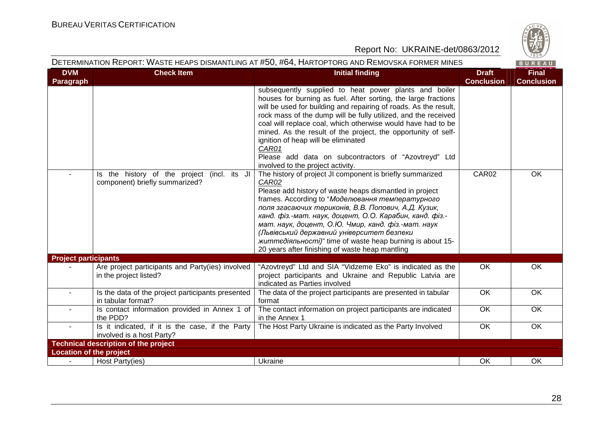

| DETERMINATION REPORT: WASTE HEAPS DISMANTLING AT #50, #64, HARTOPTORG AND REMOVSKA FORMER MINES |                                                                               |                                                                                                                                                                                                                                                                                                                                                                                                                                                                                                                                             |                                   | $\vee$ 829/<br>BUREAU             |
|-------------------------------------------------------------------------------------------------|-------------------------------------------------------------------------------|---------------------------------------------------------------------------------------------------------------------------------------------------------------------------------------------------------------------------------------------------------------------------------------------------------------------------------------------------------------------------------------------------------------------------------------------------------------------------------------------------------------------------------------------|-----------------------------------|-----------------------------------|
| <b>DVM</b><br>Paragraph                                                                         | <b>Check Item</b>                                                             | <b>Initial finding</b>                                                                                                                                                                                                                                                                                                                                                                                                                                                                                                                      | <b>Draft</b><br><b>Conclusion</b> | <b>Final</b><br><b>Conclusion</b> |
|                                                                                                 |                                                                               | subsequently supplied to heat power plants and boiler<br>houses for burning as fuel. After sorting, the large fractions<br>will be used for building and repairing of roads. As the result,<br>rock mass of the dump will be fully utilized, and the received<br>coal will replace coal, which otherwise would have had to be<br>mined. As the result of the project, the opportunity of self-<br>ignition of heap will be eliminated<br>CAR01<br>Please add data on subcontractors of "Azovtreyd" Ltd<br>involved to the project activity. |                                   |                                   |
|                                                                                                 | Is the history of the project (incl. its JI<br>component) briefly summarized? | The history of project JI component is briefly summarized<br>CAR02<br>Please add history of waste heaps dismantled in project<br>frames. According to "Моделювання температурного<br>поля згасаючих териконів, В.В. Попович, А.Д. Кузик,<br>канд. фіз.-мат. наук, доцент, О.О. Карабин, канд. фіз.-<br>мат. наук, доцент, О.Ю. Чмир, канд. фіз.-мат. наук<br>(Львівський державний університет безпеки<br>життедіяльності)" time of waste heap burning is about 15-<br>20 years after finishing of waste heap mantling                      | CAR02                             | OK                                |
| <b>Project participants</b>                                                                     | Are project participants and Party(ies) involved<br>in the project listed?    | "Azovtreyd" Ltd and SIA "Vidzeme Eko" is indicated as the<br>project participants and Ukraine and Republic Latvia are<br>indicated as Parties involved                                                                                                                                                                                                                                                                                                                                                                                      | OK                                | OK                                |
| $\sim$                                                                                          | Is the data of the project participants presented<br>in tabular format?       | The data of the project participants are presented in tabular<br>format                                                                                                                                                                                                                                                                                                                                                                                                                                                                     | OK                                | OK                                |
| $\blacksquare$                                                                                  | Is contact information provided in Annex 1 of<br>the PDD?                     | The contact information on project participants are indicated<br>in the Annex 1                                                                                                                                                                                                                                                                                                                                                                                                                                                             | OK                                | OK                                |
|                                                                                                 | Is it indicated, if it is the case, if the Party<br>involved is a host Party? | The Host Party Ukraine is indicated as the Party Involved                                                                                                                                                                                                                                                                                                                                                                                                                                                                                   | OK                                | OK                                |
|                                                                                                 | <b>Technical description of the project</b>                                   |                                                                                                                                                                                                                                                                                                                                                                                                                                                                                                                                             |                                   |                                   |
| <b>Location of the project</b>                                                                  |                                                                               |                                                                                                                                                                                                                                                                                                                                                                                                                                                                                                                                             |                                   |                                   |
|                                                                                                 | Host Party(ies)                                                               | Ukraine                                                                                                                                                                                                                                                                                                                                                                                                                                                                                                                                     | OK                                | OK                                |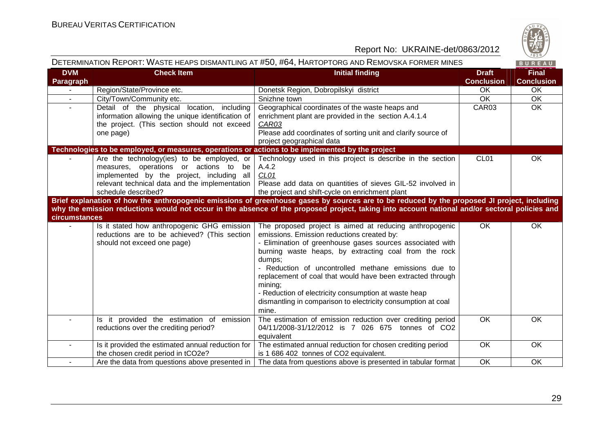

|                         | DETERMINATION REPORT: WASTE HEAPS DISMANTLING AT #50, #64, HARTOPTORG AND REMOVSKA FORMER MINES                                                                                                               |                                                                                                                                                                                                                                                                                                                                                                                                                                                                                                         |                                   | BUREAU                            |
|-------------------------|---------------------------------------------------------------------------------------------------------------------------------------------------------------------------------------------------------------|---------------------------------------------------------------------------------------------------------------------------------------------------------------------------------------------------------------------------------------------------------------------------------------------------------------------------------------------------------------------------------------------------------------------------------------------------------------------------------------------------------|-----------------------------------|-----------------------------------|
| <b>DVM</b><br>Paragraph | <b>Check Item</b>                                                                                                                                                                                             | <b>Initial finding</b>                                                                                                                                                                                                                                                                                                                                                                                                                                                                                  | <b>Draft</b><br><b>Conclusion</b> | <b>Final</b><br><b>Conclusion</b> |
|                         | Region/State/Province etc.                                                                                                                                                                                    | Donetsk Region, Dobropilskyi district                                                                                                                                                                                                                                                                                                                                                                                                                                                                   | OK                                | OK                                |
|                         | City/Town/Community etc.                                                                                                                                                                                      | Snizhne town                                                                                                                                                                                                                                                                                                                                                                                                                                                                                            | OK                                | OK                                |
|                         | Detail of the physical location, including<br>information allowing the unique identification of<br>the project. (This section should not exceed<br>one page)                                                  | Geographical coordinates of the waste heaps and<br>enrichment plant are provided in the section A.4.1.4<br>CAR03<br>Please add coordinates of sorting unit and clarify source of<br>project geographical data                                                                                                                                                                                                                                                                                           | CAR03                             | <b>OK</b>                         |
|                         | Technologies to be employed, or measures, operations or actions to be implemented by the project                                                                                                              |                                                                                                                                                                                                                                                                                                                                                                                                                                                                                                         |                                   |                                   |
|                         | Are the technology (ies) to be employed, or<br>measures, operations or actions to<br>be<br>implemented by the project, including all<br>relevant technical data and the implementation<br>schedule described? | Technology used in this project is describe in the section<br>A.4.2<br>CL <sub>01</sub><br>Please add data on quantities of sieves GIL-52 involved in<br>the project and shift-cycle on enrichment plant                                                                                                                                                                                                                                                                                                | CL <sub>01</sub>                  | OK.                               |
|                         |                                                                                                                                                                                                               | Brief explanation of how the anthropogenic emissions of greenhouse gases by sources are to be reduced by the proposed JI project, including                                                                                                                                                                                                                                                                                                                                                             |                                   |                                   |
| circumstances           |                                                                                                                                                                                                               | why the emission reductions would not occur in the absence of the proposed project, taking into account national and/or sectoral policies and                                                                                                                                                                                                                                                                                                                                                           |                                   |                                   |
|                         | Is it stated how anthropogenic GHG emission<br>reductions are to be achieved? (This section<br>should not exceed one page)                                                                                    | The proposed project is aimed at reducing anthropogenic<br>emissions. Emission reductions created by:<br>- Elimination of greenhouse gases sources associated with<br>burning waste heaps, by extracting coal from the rock<br>dumps;<br>- Reduction of uncontrolled methane emissions due to<br>replacement of coal that would have been extracted through<br>mining;<br>- Reduction of electricity consumption at waste heap<br>dismantling in comparison to electricity consumption at coal<br>mine. | <b>OK</b>                         | OK                                |
| $\blacksquare$          | Is it provided the estimation of emission<br>reductions over the crediting period?                                                                                                                            | The estimation of emission reduction over crediting period<br>04/11/2008-31/12/2012 is 7 026 675 tonnes of CO2<br>equivalent                                                                                                                                                                                                                                                                                                                                                                            | OK                                | OK                                |
|                         | Is it provided the estimated annual reduction for<br>the chosen credit period in tCO2e?                                                                                                                       | The estimated annual reduction for chosen crediting period<br>is 1 686 402 tonnes of CO2 equivalent.                                                                                                                                                                                                                                                                                                                                                                                                    | OK                                | OK                                |
|                         | Are the data from questions above presented in                                                                                                                                                                | The data from questions above is presented in tabular format                                                                                                                                                                                                                                                                                                                                                                                                                                            | OK                                | OK                                |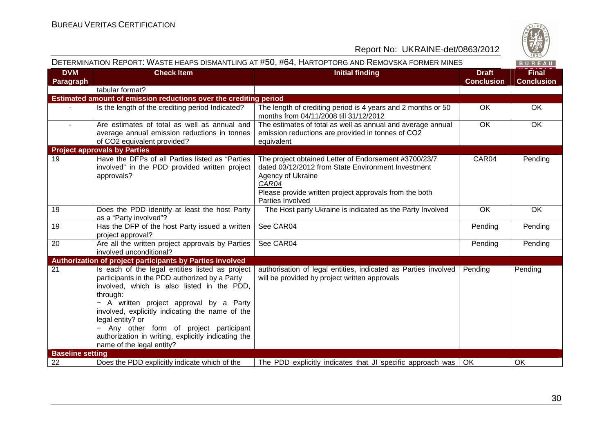

| DETERMINATION REPORT: WASTE HEAPS DISMANTLING AT #50, #64, HARTOPTORG AND REMOVSKA FORMER MINES |                                                                                                                                                                                                                                                                                                                                                                                                             |                                                                                                                                                                                                                         |                                   |                                   |
|-------------------------------------------------------------------------------------------------|-------------------------------------------------------------------------------------------------------------------------------------------------------------------------------------------------------------------------------------------------------------------------------------------------------------------------------------------------------------------------------------------------------------|-------------------------------------------------------------------------------------------------------------------------------------------------------------------------------------------------------------------------|-----------------------------------|-----------------------------------|
| <b>DVM</b><br>Paragraph                                                                         | <b>Check Item</b>                                                                                                                                                                                                                                                                                                                                                                                           | <b>Initial finding</b>                                                                                                                                                                                                  | <b>Draft</b><br><b>Conclusion</b> | <b>Final</b><br><b>Conclusion</b> |
|                                                                                                 | tabular format?                                                                                                                                                                                                                                                                                                                                                                                             |                                                                                                                                                                                                                         |                                   |                                   |
|                                                                                                 | Estimated amount of emission reductions over the crediting period                                                                                                                                                                                                                                                                                                                                           |                                                                                                                                                                                                                         |                                   |                                   |
|                                                                                                 | Is the length of the crediting period Indicated?                                                                                                                                                                                                                                                                                                                                                            | The length of crediting period is 4 years and 2 months or 50<br>months from 04/11/2008 till 31/12/2012                                                                                                                  | OK                                | OK                                |
| $\sim$                                                                                          | Are estimates of total as well as annual and                                                                                                                                                                                                                                                                                                                                                                | The estimates of total as well as annual and average annual                                                                                                                                                             | OK                                | OK                                |
|                                                                                                 | average annual emission reductions in tonnes                                                                                                                                                                                                                                                                                                                                                                | emission reductions are provided in tonnes of CO2                                                                                                                                                                       |                                   |                                   |
|                                                                                                 | of CO2 equivalent provided?                                                                                                                                                                                                                                                                                                                                                                                 | equivalent                                                                                                                                                                                                              |                                   |                                   |
|                                                                                                 | <b>Project approvals by Parties</b>                                                                                                                                                                                                                                                                                                                                                                         |                                                                                                                                                                                                                         |                                   |                                   |
| 19                                                                                              | Have the DFPs of all Parties listed as "Parties<br>involved" in the PDD provided written project<br>approvals?                                                                                                                                                                                                                                                                                              | The project obtained Letter of Endorsement #3700/23/7<br>dated 03/12/2012 from State Environment Investment<br>Agency of Ukraine<br>CAR04<br>Please provide written project approvals from the both<br>Parties Involved | CAR04                             | Pending                           |
| 19                                                                                              | Does the PDD identify at least the host Party<br>as a "Party involved"?                                                                                                                                                                                                                                                                                                                                     | The Host party Ukraine is indicated as the Party Involved                                                                                                                                                               | OK                                | OK                                |
| 19                                                                                              | Has the DFP of the host Party issued a written<br>project approval?                                                                                                                                                                                                                                                                                                                                         | See CAR04                                                                                                                                                                                                               | Pending                           | Pending                           |
| 20                                                                                              | Are all the written project approvals by Parties<br>involved unconditional?                                                                                                                                                                                                                                                                                                                                 | See CAR04                                                                                                                                                                                                               | Pending                           | Pending                           |
|                                                                                                 | Authorization of project participants by Parties involved                                                                                                                                                                                                                                                                                                                                                   |                                                                                                                                                                                                                         |                                   |                                   |
| 21                                                                                              | Is each of the legal entities listed as project<br>participants in the PDD authorized by a Party<br>involved, which is also listed in the PDD,<br>through:<br>- A written project approval by a Party<br>involved, explicitly indicating the name of the<br>legal entity? or<br>- Any other form of project participant<br>authorization in writing, explicitly indicating the<br>name of the legal entity? | authorisation of legal entities, indicated as Parties involved<br>will be provided by project written approvals                                                                                                         | Pending                           | Pending                           |
| <b>Baseline setting</b>                                                                         |                                                                                                                                                                                                                                                                                                                                                                                                             |                                                                                                                                                                                                                         |                                   |                                   |
| 22                                                                                              | Does the PDD explicitly indicate which of the                                                                                                                                                                                                                                                                                                                                                               | The PDD explicitly indicates that JI specific approach was                                                                                                                                                              | OK.                               | OK                                |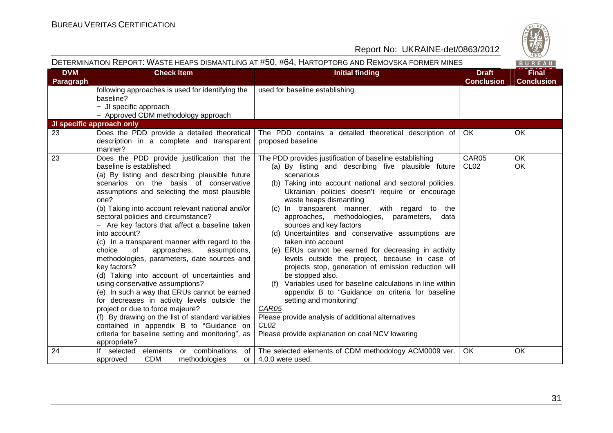

|                         | DETERMINATION REPORT: WASTE HEAPS DISMANTLING AT #50, #64, HARTOPTORG AND REMOVSKA FORMER MINES                                                                                                                                                                                                                                                                                                                                                                                                                                                                                                                                                                                                                                                                                                                                                                                                                                                      |                                                                                                                                                                                                                                                                                                                                                                                                                                                                                                                                                                                                                                                                                                                                                                                                                                                                                                                                                         |                                   | BUREAU                            |
|-------------------------|------------------------------------------------------------------------------------------------------------------------------------------------------------------------------------------------------------------------------------------------------------------------------------------------------------------------------------------------------------------------------------------------------------------------------------------------------------------------------------------------------------------------------------------------------------------------------------------------------------------------------------------------------------------------------------------------------------------------------------------------------------------------------------------------------------------------------------------------------------------------------------------------------------------------------------------------------|---------------------------------------------------------------------------------------------------------------------------------------------------------------------------------------------------------------------------------------------------------------------------------------------------------------------------------------------------------------------------------------------------------------------------------------------------------------------------------------------------------------------------------------------------------------------------------------------------------------------------------------------------------------------------------------------------------------------------------------------------------------------------------------------------------------------------------------------------------------------------------------------------------------------------------------------------------|-----------------------------------|-----------------------------------|
| <b>DVM</b><br>Paragraph | <b>Check Item</b>                                                                                                                                                                                                                                                                                                                                                                                                                                                                                                                                                                                                                                                                                                                                                                                                                                                                                                                                    | <b>Initial finding</b>                                                                                                                                                                                                                                                                                                                                                                                                                                                                                                                                                                                                                                                                                                                                                                                                                                                                                                                                  | <b>Draft</b><br><b>Conclusion</b> | <b>Final</b><br><b>Conclusion</b> |
|                         | following approaches is used for identifying the<br>baseline?<br>- JI specific approach<br>- Approved CDM methodology approach                                                                                                                                                                                                                                                                                                                                                                                                                                                                                                                                                                                                                                                                                                                                                                                                                       | used for baseline establishing                                                                                                                                                                                                                                                                                                                                                                                                                                                                                                                                                                                                                                                                                                                                                                                                                                                                                                                          |                                   |                                   |
|                         | JI specific approach only                                                                                                                                                                                                                                                                                                                                                                                                                                                                                                                                                                                                                                                                                                                                                                                                                                                                                                                            |                                                                                                                                                                                                                                                                                                                                                                                                                                                                                                                                                                                                                                                                                                                                                                                                                                                                                                                                                         |                                   |                                   |
| 23                      | Does the PDD provide a detailed theoretical<br>description in a complete and transparent<br>manner?                                                                                                                                                                                                                                                                                                                                                                                                                                                                                                                                                                                                                                                                                                                                                                                                                                                  | The PDD contains a detailed theoretical description of<br>proposed baseline                                                                                                                                                                                                                                                                                                                                                                                                                                                                                                                                                                                                                                                                                                                                                                                                                                                                             | OK.                               | OK                                |
| 23                      | Does the PDD provide justification that the<br>baseline is established:<br>(a) By listing and describing plausible future<br>scenarios on the basis of conservative<br>assumptions and selecting the most plausible<br>one?<br>(b) Taking into account relevant national and/or<br>sectoral policies and circumstance?<br>- Are key factors that affect a baseline taken<br>into account?<br>(c) In a transparent manner with regard to the<br>choice<br>approaches,<br>assumptions,<br>of<br>methodologies, parameters, date sources and<br>key factors?<br>(d) Taking into account of uncertainties and<br>using conservative assumptions?<br>(e) In such a way that ERUs cannot be earned<br>for decreases in activity levels outside the<br>project or due to force majeure?<br>(f) By drawing on the list of standard variables<br>contained in appendix B to "Guidance on<br>criteria for baseline setting and monitoring", as<br>appropriate? | The PDD provides justification of baseline establishing<br>(a) By listing and describing five plausible future<br>scenarious<br>(b) Taking into account national and sectoral policies.<br>Ukrainian policies doesn't require or encourage<br>waste heaps dismantling<br>(c) In transparent manner, with regard to the<br>approaches, methodologies, parameters, data<br>sources and key factors<br>(d) Uncertaintites and conservative assumptions are<br>taken into account<br>(e) ERUs cannot be earned for decreasing in activity<br>levels outside the project, because in case of<br>projects stop, generation of emission reduction will<br>be stopped also.<br>(f) Variables used for baseline calculations in line within<br>appendix B to "Guidance on criteria for baseline<br>setting and monitoring"<br>CAR05<br>Please provide analysis of additional alternatives<br>CL <sub>02</sub><br>Please provide explanation on coal NCV lowering | CAR05<br>CL <sub>02</sub>         | <b>OK</b><br>OK                   |
| 24                      | If selected<br>elements<br>or combinations<br>of l<br><b>CDM</b><br>methodologies<br>approved<br>or                                                                                                                                                                                                                                                                                                                                                                                                                                                                                                                                                                                                                                                                                                                                                                                                                                                  | The selected elements of CDM methodology ACM0009 ver.<br>4.0.0 were used.                                                                                                                                                                                                                                                                                                                                                                                                                                                                                                                                                                                                                                                                                                                                                                                                                                                                               | OK                                | OK                                |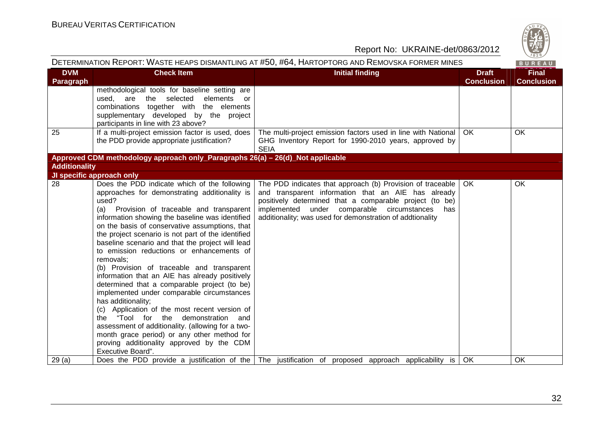

| <b>DVM</b><br><b>Check Item</b><br><b>Initial finding</b><br><b>Final</b><br><b>Draft</b><br>Paragraph<br><b>Conclusion</b><br><b>Conclusion</b><br>methodological tools for baseline setting are                                                                                                                                                                                                                                                                                                                                                                                                                                                                                                                                                                                                                                                                                                                                                                                                                                                                                                                                                                                                                                              |  |
|------------------------------------------------------------------------------------------------------------------------------------------------------------------------------------------------------------------------------------------------------------------------------------------------------------------------------------------------------------------------------------------------------------------------------------------------------------------------------------------------------------------------------------------------------------------------------------------------------------------------------------------------------------------------------------------------------------------------------------------------------------------------------------------------------------------------------------------------------------------------------------------------------------------------------------------------------------------------------------------------------------------------------------------------------------------------------------------------------------------------------------------------------------------------------------------------------------------------------------------------|--|
|                                                                                                                                                                                                                                                                                                                                                                                                                                                                                                                                                                                                                                                                                                                                                                                                                                                                                                                                                                                                                                                                                                                                                                                                                                                |  |
| used, are the selected<br>elements or<br>combinations together with the elements<br>supplementary developed by the project<br>participants in line with 23 above?                                                                                                                                                                                                                                                                                                                                                                                                                                                                                                                                                                                                                                                                                                                                                                                                                                                                                                                                                                                                                                                                              |  |
| 25<br>If a multi-project emission factor is used, does<br>The multi-project emission factors used in line with National<br>OK<br>OK.<br>the PDD provide appropriate justification?<br>GHG Inventory Report for 1990-2010 years, approved by<br><b>SEIA</b>                                                                                                                                                                                                                                                                                                                                                                                                                                                                                                                                                                                                                                                                                                                                                                                                                                                                                                                                                                                     |  |
| Approved CDM methodology approach only_Paragraphs 26(a) - 26(d)_Not applicable                                                                                                                                                                                                                                                                                                                                                                                                                                                                                                                                                                                                                                                                                                                                                                                                                                                                                                                                                                                                                                                                                                                                                                 |  |
| <b>Additionality</b>                                                                                                                                                                                                                                                                                                                                                                                                                                                                                                                                                                                                                                                                                                                                                                                                                                                                                                                                                                                                                                                                                                                                                                                                                           |  |
| JI specific approach only                                                                                                                                                                                                                                                                                                                                                                                                                                                                                                                                                                                                                                                                                                                                                                                                                                                                                                                                                                                                                                                                                                                                                                                                                      |  |
| 28<br>Does the PDD indicate which of the following<br>The PDD indicates that approach (b) Provision of traceable<br><b>OK</b><br>OK.<br>approaches for demonstrating additionality is<br>and transparent information that an AIE has already<br>used?<br>positively determined that a comparable project (to be)<br>implemented under comparable circumstances<br>(a)<br>Provision of traceable and transparent<br>has<br>information showing the baseline was identified<br>additionality; was used for demonstration of addtionality<br>on the basis of conservative assumptions, that<br>the project scenario is not part of the identified<br>baseline scenario and that the project will lead<br>to emission reductions or enhancements of<br>removals;<br>(b) Provision of traceable and transparent<br>information that an AIE has already positively<br>determined that a comparable project (to be)<br>implemented under comparable circumstances<br>has additionality;<br>(c) Application of the most recent version of<br>the "Tool for the demonstration and<br>assessment of additionality. (allowing for a two-<br>month grace period) or any other method for<br>proving additionality approved by the CDM<br>Executive Board". |  |
| 29(a)<br>Does the PDD provide a justification of the The justification of proposed approach applicability is<br>OK.<br>OK.                                                                                                                                                                                                                                                                                                                                                                                                                                                                                                                                                                                                                                                                                                                                                                                                                                                                                                                                                                                                                                                                                                                     |  |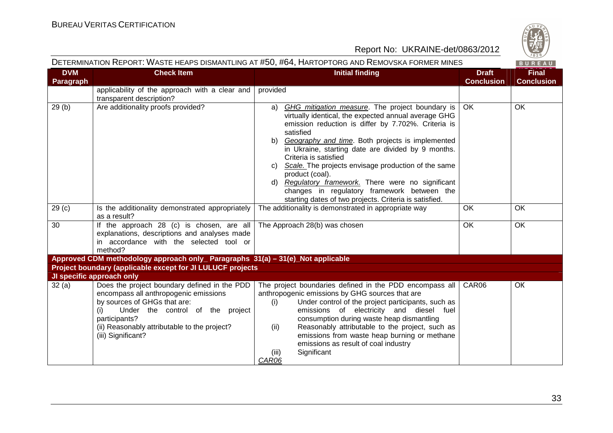

|                                |                                                                                                                                                                                                                                                         | DETERMINATION REPORT: WASTE HEAPS DISMANTLING AT #50, #64, HARTOPTORG AND REMOVSKA FORMER MINES                                                                                                                                                                                                                                                                                                                                                                                                                                                                           |                                   | BUREAU                            |
|--------------------------------|---------------------------------------------------------------------------------------------------------------------------------------------------------------------------------------------------------------------------------------------------------|---------------------------------------------------------------------------------------------------------------------------------------------------------------------------------------------------------------------------------------------------------------------------------------------------------------------------------------------------------------------------------------------------------------------------------------------------------------------------------------------------------------------------------------------------------------------------|-----------------------------------|-----------------------------------|
| <b>DVM</b><br><b>Paragraph</b> | <b>Check Item</b>                                                                                                                                                                                                                                       | <b>Initial finding</b>                                                                                                                                                                                                                                                                                                                                                                                                                                                                                                                                                    | <b>Draft</b><br><b>Conclusion</b> | <b>Final</b><br><b>Conclusion</b> |
|                                | applicability of the approach with a clear and<br>transparent description?                                                                                                                                                                              | provided                                                                                                                                                                                                                                                                                                                                                                                                                                                                                                                                                                  |                                   |                                   |
| 29(b)                          | Are additionality proofs provided?                                                                                                                                                                                                                      | GHG mitigation measure. The project boundary is<br>a)<br>virtually identical, the expected annual average GHG<br>emission reduction is differ by 7.702%. Criteria is<br>satisfied<br>Geography and time. Both projects is implemented<br>b)<br>in Ukraine, starting date are divided by 9 months.<br>Criteria is satisfied<br>Scale. The projects envisage production of the same<br>C)<br>product (coal).<br>d) Regulatory framework. There were no significant<br>changes in regulatory framework between the<br>starting dates of two projects. Criteria is satisfied. | OK                                | OK                                |
| 29 <sub>(c)</sub>              | Is the additionality demonstrated appropriately<br>as a result?                                                                                                                                                                                         | The additionality is demonstrated in appropriate way                                                                                                                                                                                                                                                                                                                                                                                                                                                                                                                      | OK                                | OK                                |
| $\overline{30}$                | If the approach 28 (c) is chosen, are all<br>explanations, descriptions and analyses made<br>in accordance with the selected tool or<br>method?                                                                                                         | The Approach 28(b) was chosen                                                                                                                                                                                                                                                                                                                                                                                                                                                                                                                                             | $\overline{OK}$                   | OK                                |
|                                | Approved CDM methodology approach only_ Paragraphs 31(a) - 31(e)_Not applicable                                                                                                                                                                         |                                                                                                                                                                                                                                                                                                                                                                                                                                                                                                                                                                           |                                   |                                   |
|                                | Project boundary (applicable except for JI LULUCF projects                                                                                                                                                                                              |                                                                                                                                                                                                                                                                                                                                                                                                                                                                                                                                                                           |                                   |                                   |
|                                | JI specific approach only                                                                                                                                                                                                                               |                                                                                                                                                                                                                                                                                                                                                                                                                                                                                                                                                                           |                                   |                                   |
| 32(a)                          | Does the project boundary defined in the PDD<br>encompass all anthropogenic emissions<br>by sources of GHGs that are:<br>Under the control of the project<br>(i)<br>participants?<br>(ii) Reasonably attributable to the project?<br>(iii) Significant? | The project boundaries defined in the PDD encompass all<br>anthropogenic emissions by GHG sources that are<br>Under control of the project participants, such as<br>(i)<br>emissions of electricity and diesel fuel<br>consumption during waste heap dismantling<br>Reasonably attributable to the project, such as<br>(ii)<br>emissions from waste heap burning or methane<br>emissions as result of coal industry<br>Significant<br>(III)<br>CAR06                                                                                                                      | CAR06                             | OK                                |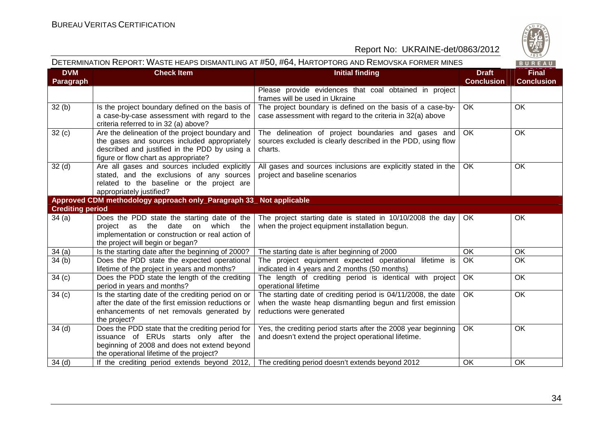

| DETERMINATION REPORT: WASTE HEAPS DISMANTLING AT #50, #64, HARTOPTORG AND REMOVSKA FORMER MINES |                                                                                                                                                                                          |                                                                                                                                                        |                                   | $\vee$ 829/<br>BUREAU             |
|-------------------------------------------------------------------------------------------------|------------------------------------------------------------------------------------------------------------------------------------------------------------------------------------------|--------------------------------------------------------------------------------------------------------------------------------------------------------|-----------------------------------|-----------------------------------|
| <b>DVM</b><br>Paragraph                                                                         | <b>Check Item</b>                                                                                                                                                                        | <b>Initial finding</b>                                                                                                                                 | <b>Draft</b><br><b>Conclusion</b> | <b>Final</b><br><b>Conclusion</b> |
|                                                                                                 |                                                                                                                                                                                          | Please provide evidences that coal obtained in project<br>frames will be used in Ukraine                                                               |                                   |                                   |
| 32(b)                                                                                           | Is the project boundary defined on the basis of<br>a case-by-case assessment with regard to the<br>criteria referred to in 32 (a) above?                                                 | The project boundary is defined on the basis of a case-by-<br>case assessment with regard to the criteria in 32(a) above                               | <b>OK</b>                         | OK                                |
| 32(c)                                                                                           | Are the delineation of the project boundary and<br>the gases and sources included appropriately<br>described and justified in the PDD by using a<br>figure or flow chart as appropriate? | The delineation of project boundaries and gases and<br>sources excluded is clearly described in the PDD, using flow<br>charts.                         | OK                                | OK                                |
| 32(d)                                                                                           | Are all gases and sources included explicitly<br>stated, and the exclusions of any sources<br>related to the baseline or the project are<br>appropriately justified?                     | All gases and sources inclusions are explicitly stated in the<br>project and baseline scenarios                                                        | OK                                | OK                                |
|                                                                                                 | Approved CDM methodology approach only_Paragraph 33_ Not applicable                                                                                                                      |                                                                                                                                                        |                                   |                                   |
| <b>Crediting period</b>                                                                         |                                                                                                                                                                                          |                                                                                                                                                        |                                   |                                   |
| 34(a)                                                                                           | Does the PDD state the starting date of the<br>project as the date on which the<br>implementation or construction or real action of<br>the project will begin or began?                  | The project starting date is stated in 10/10/2008 the day<br>when the project equipment installation begun.                                            | OK                                | OK                                |
| 34(a)                                                                                           | Is the starting date after the beginning of 2000?                                                                                                                                        | The starting date is after beginning of 2000                                                                                                           | OK                                | OK                                |
| 34(b)                                                                                           | Does the PDD state the expected operational<br>lifetime of the project in years and months?                                                                                              | The project equipment expected operational lifetime is<br>indicated in 4 years and 2 months (50 months)                                                | OK                                | <b>OK</b>                         |
| 34(c)                                                                                           | Does the PDD state the length of the crediting<br>period in years and months?                                                                                                            | The length of crediting period is identical with project<br>operational lifetime                                                                       | OK                                | OK                                |
| 34(c)                                                                                           | Is the starting date of the crediting period on or<br>after the date of the first emission reductions or<br>enhancements of net removals generated by<br>the project?                    | The starting date of crediting period is 04/11/2008, the date<br>when the waste heap dismantling begun and first emission<br>reductions were generated | <b>OK</b>                         | OK                                |
| 34 <sub>(d)</sub>                                                                               | Does the PDD state that the crediting period for<br>issuance of ERUs starts only after the<br>beginning of 2008 and does not extend beyond<br>the operational lifetime of the project?   | Yes, the crediting period starts after the 2008 year beginning<br>and doesn't extend the project operational lifetime.                                 | OK                                | OK                                |
| 34(d)                                                                                           | If the crediting period extends beyond 2012,                                                                                                                                             | The crediting period doesn't extends beyond 2012                                                                                                       | OK                                | OK                                |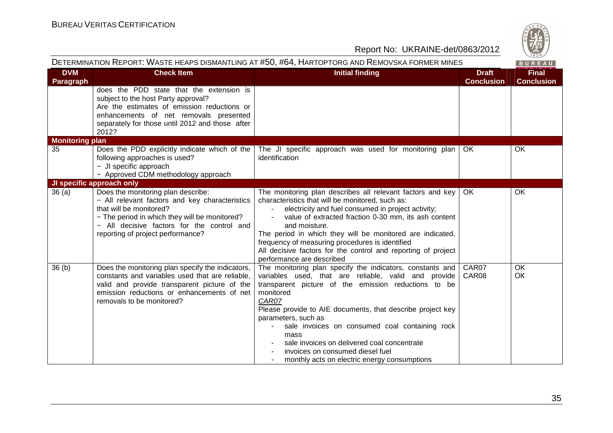

| DETERMINATION REPORT: WASTE HEAPS DISMANTLING AT #50, #64, HARTOPTORG AND REMOVSKA FORMER MINES |                                                                                                                                                                                                                                                     |                                                                                                                                                                                                                                                                                                                                                                                                                                                                                   | BUREAU                            |                                   |
|-------------------------------------------------------------------------------------------------|-----------------------------------------------------------------------------------------------------------------------------------------------------------------------------------------------------------------------------------------------------|-----------------------------------------------------------------------------------------------------------------------------------------------------------------------------------------------------------------------------------------------------------------------------------------------------------------------------------------------------------------------------------------------------------------------------------------------------------------------------------|-----------------------------------|-----------------------------------|
| <b>DVM</b><br>Paragraph                                                                         | <b>Check Item</b>                                                                                                                                                                                                                                   | <b>Initial finding</b>                                                                                                                                                                                                                                                                                                                                                                                                                                                            | <b>Draft</b><br><b>Conclusion</b> | <b>Final</b><br><b>Conclusion</b> |
|                                                                                                 | does the PDD state that the extension is<br>subject to the host Party approval?<br>Are the estimates of emission reductions or<br>enhancements of net removals presented<br>separately for those until 2012 and those after<br>2012?                |                                                                                                                                                                                                                                                                                                                                                                                                                                                                                   |                                   |                                   |
| <b>Monitoring plan</b>                                                                          |                                                                                                                                                                                                                                                     |                                                                                                                                                                                                                                                                                                                                                                                                                                                                                   |                                   |                                   |
| 35                                                                                              | Does the PDD explicitly indicate which of the<br>following approaches is used?<br>- JI specific approach<br>- Approved CDM methodology approach                                                                                                     | The JI specific approach was used for monitoring plan<br>identification                                                                                                                                                                                                                                                                                                                                                                                                           | OK.                               | <b>OK</b>                         |
|                                                                                                 | JI specific approach only                                                                                                                                                                                                                           |                                                                                                                                                                                                                                                                                                                                                                                                                                                                                   |                                   |                                   |
| 36(a)                                                                                           | Does the monitoring plan describe:<br>- All relevant factors and key characteristics<br>that will be monitored?<br>- The period in which they will be monitored?<br>- All decisive factors for the control and<br>reporting of project performance? | The monitoring plan describes all relevant factors and key<br>characteristics that will be monitored, such as:<br>electricity and fuel consumed in project activity;<br>value of extracted fraction 0-30 mm, its ash content<br>and moisture.<br>The period in which they will be monitored are indicated,<br>frequency of measuring procedures is identified<br>All decisive factors for the control and reporting of project<br>performance are described                       | OK                                | OK                                |
| 36 <sub>(b)</sub>                                                                               | Does the monitoring plan specify the indicators,<br>constants and variables used that are reliable.<br>valid and provide transparent picture of the<br>emission reductions or enhancements of net<br>removals to be monitored?                      | The monitoring plan specify the indicators, constants and<br>variables used, that are reliable, valid and provide<br>transparent picture of the emission reductions to be<br>monitored<br>CAR07<br>Please provide to AIE documents, that describe project key<br>parameters, such as<br>sale invoices on consumed coal containing rock<br>mass<br>sale invoices on delivered coal concentrate<br>invoices on consumed diesel fuel<br>monthly acts on electric energy consumptions | CAR07<br>CAR08                    | OK<br>OK                          |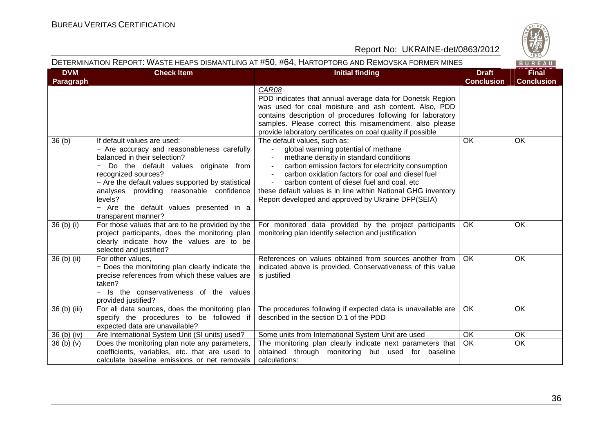

|                         |                                                                                                                                                                                                                                                                                                                                                         | DETERMINATION REPORT: WASTE HEAPS DISMANTLING AT #50, #64, HARTOPTORG AND REMOVSKA FORMER MINES                                                                                                                                                                                                                                                                                                                                               |                                   | BUREAU                            |
|-------------------------|---------------------------------------------------------------------------------------------------------------------------------------------------------------------------------------------------------------------------------------------------------------------------------------------------------------------------------------------------------|-----------------------------------------------------------------------------------------------------------------------------------------------------------------------------------------------------------------------------------------------------------------------------------------------------------------------------------------------------------------------------------------------------------------------------------------------|-----------------------------------|-----------------------------------|
| <b>DVM</b><br>Paragraph | <b>Check Item</b>                                                                                                                                                                                                                                                                                                                                       | <b>Initial finding</b>                                                                                                                                                                                                                                                                                                                                                                                                                        | <b>Draft</b><br><b>Conclusion</b> | <b>Final</b><br><b>Conclusion</b> |
|                         |                                                                                                                                                                                                                                                                                                                                                         | CAR08<br>PDD indicates that annual average data for Donetsk Region<br>was used for coal moisture and ash content. Also, PDD<br>contains description of procedures following for laboratory<br>samples. Please correct this misamendment, also please<br>provide laboratory certificates on coal quality if possible                                                                                                                           |                                   |                                   |
| 36(b)                   | If default values are used:<br>- Are accuracy and reasonableness carefully<br>balanced in their selection?<br>Do the default values originate from<br>recognized sources?<br>- Are the default values supported by statistical<br>analyses providing reasonable confidence<br>levels?<br>- Are the default values presented in a<br>transparent manner? | The default values, such as:<br>global warming potential of methane<br>methane density in standard conditions<br>carbon emission factors for electricity consumption<br>$\blacksquare$<br>carbon oxidation factors for coal and diesel fuel<br>carbon content of diesel fuel and coal, etc<br>$\overline{\phantom{a}}$<br>these default values is in line within National GHG inventory<br>Report developed and approved by Ukraine DFP(SEIA) | OK                                | OK                                |
| 36 (b) (i)              | For those values that are to be provided by the<br>project participants, does the monitoring plan<br>clearly indicate how the values are to be<br>selected and justified?                                                                                                                                                                               | For monitored data provided by the project participants<br>monitoring plan identify selection and justification                                                                                                                                                                                                                                                                                                                               | OK.                               | OK                                |
| 36 (b) (ii)             | For other values,<br>- Does the monitoring plan clearly indicate the<br>precise references from which these values are<br>taken?<br>- Is the conservativeness of the values<br>provided justified?                                                                                                                                                      | References on values obtained from sources another from<br>indicated above is provided. Conservativeness of this value<br>is justified                                                                                                                                                                                                                                                                                                        | <b>OK</b>                         | OK                                |
| 36 (b) (iii)            | For all data sources, does the monitoring plan<br>specify the procedures to be followed if<br>expected data are unavailable?                                                                                                                                                                                                                            | The procedures following if expected data is unavailable are<br>described in the section D.1 of the PDD                                                                                                                                                                                                                                                                                                                                       | OK.                               | OK                                |
| 36 (b) (iv)             | Are International System Unit (SI units) used?                                                                                                                                                                                                                                                                                                          | Some units from International System Unit are used                                                                                                                                                                                                                                                                                                                                                                                            | OK                                | OK                                |
| 36(b)(v)                | Does the monitoring plan note any parameters,<br>coefficients, variables, etc. that are used to<br>calculate baseline emissions or net removals                                                                                                                                                                                                         | The monitoring plan clearly indicate next parameters that<br>obtained through monitoring but used for baseline<br>calculations:                                                                                                                                                                                                                                                                                                               | OK                                | OK                                |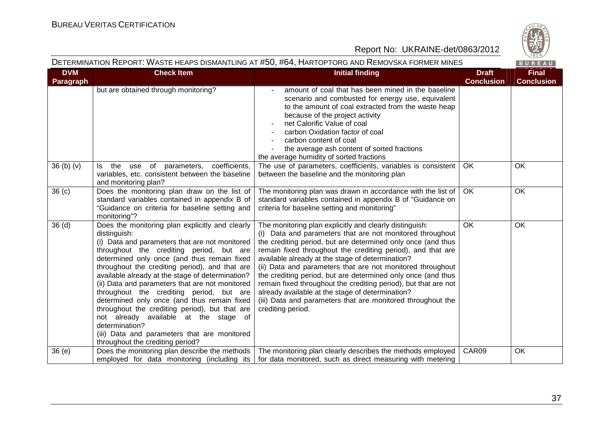

|                                |                                                                                                                                                                                                                                                                                                                                                                                                                                                                                                                                                                                                                                                                   | DETERMINATION REPORT: WASTE HEAPS DISMANTLING AT #50, #64, HARTOPTORG AND REMOVSKA FORMER MINES                                                                                                                                                                                                                                                                                                                                                                                                                                                                                                                                                  |                                   | BUREAU                            |
|--------------------------------|-------------------------------------------------------------------------------------------------------------------------------------------------------------------------------------------------------------------------------------------------------------------------------------------------------------------------------------------------------------------------------------------------------------------------------------------------------------------------------------------------------------------------------------------------------------------------------------------------------------------------------------------------------------------|--------------------------------------------------------------------------------------------------------------------------------------------------------------------------------------------------------------------------------------------------------------------------------------------------------------------------------------------------------------------------------------------------------------------------------------------------------------------------------------------------------------------------------------------------------------------------------------------------------------------------------------------------|-----------------------------------|-----------------------------------|
| <b>DVM</b><br><b>Paragraph</b> | <b>Check Item</b>                                                                                                                                                                                                                                                                                                                                                                                                                                                                                                                                                                                                                                                 | <b>Initial finding</b>                                                                                                                                                                                                                                                                                                                                                                                                                                                                                                                                                                                                                           | <b>Draft</b><br><b>Conclusion</b> | <b>Final</b><br><b>Conclusion</b> |
|                                | but are obtained through monitoring?                                                                                                                                                                                                                                                                                                                                                                                                                                                                                                                                                                                                                              | amount of coal that has been mined in the baseline<br>scenario and combusted for energy use, equivalent<br>to the amount of coal extracted from the waste heap<br>because of the project activity<br>net Calorific Value of coal<br>carbon Oxidation factor of coal<br>carbon content of coal<br>the average ash content of sorted fractions<br>the average humidity of sorted fractions                                                                                                                                                                                                                                                         |                                   |                                   |
| 36(b)(v)                       | coefficients,<br>parameters,<br>ls l<br>the<br>use of<br>variables, etc. consistent between the baseline<br>and monitoring plan?                                                                                                                                                                                                                                                                                                                                                                                                                                                                                                                                  | The use of parameters, coefficients, variables is consistent<br>between the baseline and the monitoring plan                                                                                                                                                                                                                                                                                                                                                                                                                                                                                                                                     | OK                                | OK                                |
| 36 <sub>(c)</sub>              | Does the monitoring plan draw on the list of<br>standard variables contained in appendix B of<br>"Guidance on criteria for baseline setting and<br>monitoring"?                                                                                                                                                                                                                                                                                                                                                                                                                                                                                                   | The monitoring plan was drawn in accordance with the list of<br>standard variables contained in appendix B of "Guidance on<br>criteria for baseline setting and monitoring"                                                                                                                                                                                                                                                                                                                                                                                                                                                                      | OK                                | OK                                |
| 36 <sub>(d)</sub>              | Does the monitoring plan explicitly and clearly<br>distinguish:<br>(i) Data and parameters that are not monitored<br>throughout the crediting period, but are<br>determined only once (and thus remain fixed<br>throughout the crediting period), and that are<br>available already at the stage of determination?<br>(ii) Data and parameters that are not monitored<br>throughout the crediting period, but are<br>determined only once (and thus remain fixed<br>throughout the crediting period), but that are<br>not already available at the stage of<br>determination?<br>(iii) Data and parameters that are monitored<br>throughout the crediting period? | The monitoring plan explicitly and clearly distinguish:<br>(i) Data and parameters that are not monitored throughout<br>the crediting period, but are determined only once (and thus<br>remain fixed throughout the crediting period), and that are<br>available already at the stage of determination?<br>(ii) Data and parameters that are not monitored throughout<br>the crediting period, but are determined only once (and thus<br>remain fixed throughout the crediting period), but that are not<br>already available at the stage of determination?<br>(iii) Data and parameters that are monitored throughout the<br>crediting period. | OK                                | OK                                |
| 36(e)                          | Does the monitoring plan describe the methods<br>employed for data monitoring (including its                                                                                                                                                                                                                                                                                                                                                                                                                                                                                                                                                                      | The monitoring plan clearly describes the methods employed<br>for data monitored, such as direct measuring with metering                                                                                                                                                                                                                                                                                                                                                                                                                                                                                                                         | CAR09                             | OK                                |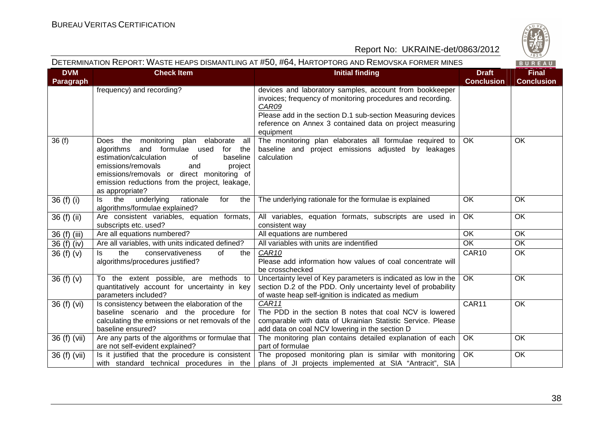

| DETERMINATION REPORT: WASTE HEAPS DISMANTLING AT #50, #64, HARTOPTORG AND REMOVSKA FORMER MINES<br>BUREAU |                                                                                                                                                                                                                                                                                             |                                                                                                                                                                                                                                                                         |                                   |                                   |
|-----------------------------------------------------------------------------------------------------------|---------------------------------------------------------------------------------------------------------------------------------------------------------------------------------------------------------------------------------------------------------------------------------------------|-------------------------------------------------------------------------------------------------------------------------------------------------------------------------------------------------------------------------------------------------------------------------|-----------------------------------|-----------------------------------|
| <b>DVM</b><br>Paragraph                                                                                   | <b>Check Item</b>                                                                                                                                                                                                                                                                           | <b>Initial finding</b>                                                                                                                                                                                                                                                  | <b>Draft</b><br><b>Conclusion</b> | <b>Final</b><br><b>Conclusion</b> |
|                                                                                                           | frequency) and recording?                                                                                                                                                                                                                                                                   | devices and laboratory samples, account from bookkeeper<br>invoices; frequency of monitoring procedures and recording.<br>CAR09<br>Please add in the section D.1 sub-section Measuring devices<br>reference on Annex 3 contained data on project measuring<br>equipment |                                   |                                   |
| 36(f)                                                                                                     | Does the monitoring plan elaborate<br>all<br>algorithms and formulae used<br>for the<br>estimation/calculation<br>of<br>baseline<br>emissions/removals<br>and<br>project<br>emissions/removals or direct monitoring of<br>emission reductions from the project, leakage,<br>as appropriate? | The monitoring plan elaborates all formulae required to<br>baseline and project emissions adjusted by leakages<br>calculation                                                                                                                                           | OK                                | OK                                |
| 36 (f) (i)                                                                                                | the<br>underlying<br>rationale<br>for<br>the<br>ls.<br>algorithms/formulae explained?                                                                                                                                                                                                       | The underlying rationale for the formulae is explained                                                                                                                                                                                                                  | <b>OK</b>                         | OK                                |
| 36 (f) (ii)                                                                                               | Are consistent variables, equation formats,<br>subscripts etc. used?                                                                                                                                                                                                                        | All variables, equation formats, subscripts are used in<br>consistent way                                                                                                                                                                                               | OK                                | OK                                |
| 36 (f) (iii)                                                                                              | Are all equations numbered?                                                                                                                                                                                                                                                                 | All equations are numbered                                                                                                                                                                                                                                              | OK                                | OK                                |
| 36 (f) (iv)                                                                                               | Are all variables, with units indicated defined?                                                                                                                                                                                                                                            | All variables with units are indentified                                                                                                                                                                                                                                | $\overline{OK}$                   | OK                                |
| 36 $(f)(v)$                                                                                               | the<br>conservativeness<br>of<br>ls.<br>the<br>algorithms/procedures justified?                                                                                                                                                                                                             | CAR <sub>10</sub><br>Please add information how values of coal concentrate will<br>be crosschecked                                                                                                                                                                      | CAR10                             | OK                                |
| 36 $(f)(v)$                                                                                               | To the extent possible, are methods to<br>quantitatively account for uncertainty in key<br>parameters included?                                                                                                                                                                             | Uncertainty level of Key parameters is indicated as low in the<br>section D.2 of the PDD. Only uncertainty level of probability<br>of waste heap self-ignition is indicated as medium                                                                                   | OK                                | OK                                |
| 36 (f) (vi)                                                                                               | Is consistency between the elaboration of the<br>baseline scenario and the procedure for<br>calculating the emissions or net removals of the<br>baseline ensured?                                                                                                                           | CAR11<br>The PDD in the section B notes that coal NCV is lowered<br>comparable with data of Ukrainian Statistic Service. Please<br>add data on coal NCV lowering in the section D                                                                                       | CAR11                             | OK                                |
| 36 (f) (vii)                                                                                              | Are any parts of the algorithms or formulae that<br>are not self-evident explained?                                                                                                                                                                                                         | The monitoring plan contains detailed explanation of each<br>part of formulae                                                                                                                                                                                           | OK                                | OK                                |
| 36 (f) (vii)                                                                                              | Is it justified that the procedure is consistent  <br>with standard technical procedures in the                                                                                                                                                                                             | The proposed monitoring plan is similar with monitoring<br>plans of JI projects implemented at SIA "Antracit", SIA                                                                                                                                                      | OK                                | OK                                |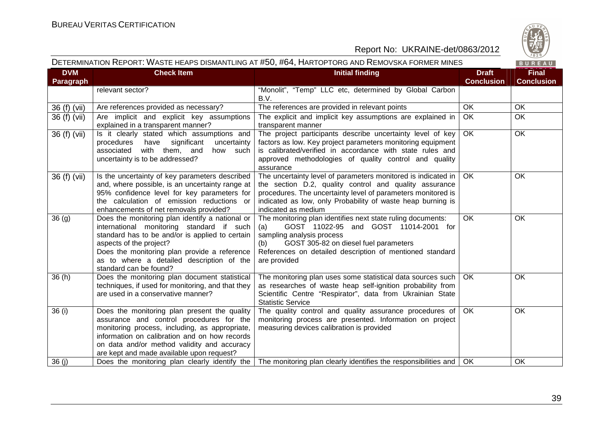

#### DETERMINATION REPORT: WASTE HEAPS DISMANTLING AT #50, #64, HARTOPTORG AND REMOVSKA FORMER MINES

BUREAU

| <b>DVM</b><br><b>Paragraph</b> | <b>Check Item</b>                                                                                                                                                                                                                                                                                 | <b>Initial finding</b>                                                                                                                                                                                                                                                        | <b>Draft</b><br><b>Conclusion</b> | <b>Final</b><br><b>Conclusion</b> |
|--------------------------------|---------------------------------------------------------------------------------------------------------------------------------------------------------------------------------------------------------------------------------------------------------------------------------------------------|-------------------------------------------------------------------------------------------------------------------------------------------------------------------------------------------------------------------------------------------------------------------------------|-----------------------------------|-----------------------------------|
|                                | relevant sector?                                                                                                                                                                                                                                                                                  | "Monolit", "Temp" LLC etc, determined by Global Carbon<br>B.V.                                                                                                                                                                                                                |                                   |                                   |
| 36 (f) (vii)                   | Are references provided as necessary?                                                                                                                                                                                                                                                             | The references are provided in relevant points                                                                                                                                                                                                                                | OK                                | <b>OK</b>                         |
| 36 (f) (vii)                   | Are implicit and explicit key assumptions<br>explained in a transparent manner?                                                                                                                                                                                                                   | The explicit and implicit key assumptions are explained in<br>transparent manner                                                                                                                                                                                              | OK                                | OK                                |
| $\overline{36}$ (f) (vii)      | Is it clearly stated which assumptions and<br>significant<br>procedures<br>have<br>uncertainty<br>with them, and<br>associated<br>how such<br>uncertainty is to be addressed?                                                                                                                     | The project participants describe uncertainty level of key<br>factors as low. Key project parameters monitoring equipment<br>is calibrated/verified in accordance with state rules and<br>approved methodologies of quality control and quality<br>assurance                  | OK                                | OK                                |
| 36 (f) (vii)                   | Is the uncertainty of key parameters described<br>and, where possible, is an uncertainty range at<br>95% confidence level for key parameters for<br>the calculation of emission reductions or<br>enhancements of net removals provided?                                                           | The uncertainty level of parameters monitored is indicated in<br>the section D.2, quality control and quality assurance<br>procedures. The uncertainty level of parameters monitored is<br>indicated as low, only Probability of waste heap burning is<br>indicated as medium | OK.                               | OK                                |
| 36(9)                          | Does the monitoring plan identify a national or<br>international monitoring standard if such<br>standard has to be and/or is applied to certain<br>aspects of the project?<br>Does the monitoring plan provide a reference<br>as to where a detailed description of the<br>standard can be found? | The monitoring plan identifies next state ruling documents:<br>GOST 11022-95 and GOST 11014-2001 for<br>(a)<br>sampling analysis process<br>GOST 305-82 on diesel fuel parameters<br>(b)<br>References on detailed description of mentioned standard<br>are provided          | <b>OK</b>                         | OK                                |
| 36(h)                          | Does the monitoring plan document statistical<br>techniques, if used for monitoring, and that they<br>are used in a conservative manner?                                                                                                                                                          | The monitoring plan uses some statistical data sources such<br>as researches of waste heap self-ignition probability from<br>Scientific Centre "Respirator", data from Ukrainian State<br><b>Statistic Service</b>                                                            | <b>OK</b>                         | <b>OK</b>                         |
| 36(i)                          | Does the monitoring plan present the quality<br>assurance and control procedures for the<br>monitoring process, including, as appropriate,<br>information on calibration and on how records<br>on data and/or method validity and accuracy<br>are kept and made available upon request?           | The quality control and quality assurance procedures of<br>monitoring process are presented. Information on project<br>measuring devices calibration is provided                                                                                                              | OK                                | OK                                |
| 36(j)                          | Does the monitoring plan clearly identify the                                                                                                                                                                                                                                                     | The monitoring plan clearly identifies the responsibilities and                                                                                                                                                                                                               | <b>OK</b>                         | OK                                |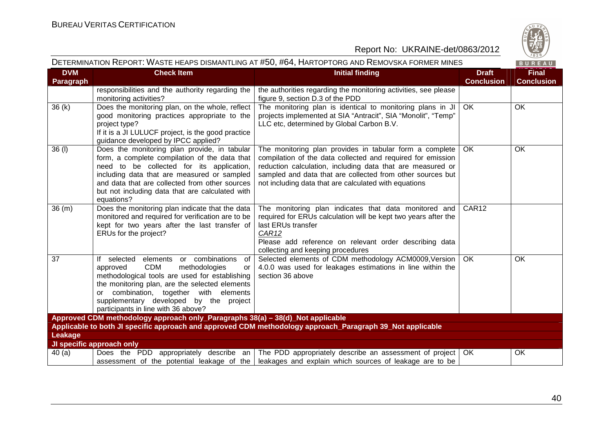

|                         |                                                                                                                                                                                                                                                                                                                               | DETERMINATION KEPORT: WASTE HEAPS DISMANTLING AT #50, #64, HARTOPTORG AND KEMOVSKA FORMER MINES                                                                                                                                                                                                             |                                   | BUREAU                            |
|-------------------------|-------------------------------------------------------------------------------------------------------------------------------------------------------------------------------------------------------------------------------------------------------------------------------------------------------------------------------|-------------------------------------------------------------------------------------------------------------------------------------------------------------------------------------------------------------------------------------------------------------------------------------------------------------|-----------------------------------|-----------------------------------|
| <b>DVM</b><br>Paragraph | <b>Check Item</b>                                                                                                                                                                                                                                                                                                             | <b>Initial finding</b>                                                                                                                                                                                                                                                                                      | <b>Draft</b><br><b>Conclusion</b> | <b>Final</b><br><b>Conclusion</b> |
|                         | responsibilities and the authority regarding the<br>monitoring activities?                                                                                                                                                                                                                                                    | the authorities regarding the monitoring activities, see please<br>figure 9, section D.3 of the PDD                                                                                                                                                                                                         |                                   |                                   |
| 36(k)                   | Does the monitoring plan, on the whole, reflect<br>good monitoring practices appropriate to the<br>project type?<br>If it is a JI LULUCF project, is the good practice<br>guidance developed by IPCC applied?                                                                                                                 | The monitoring plan is identical to monitoring plans in JI<br>projects implemented at SIA "Antracit", SIA "Monolit", "Temp"<br>LLC etc, determined by Global Carbon B.V.                                                                                                                                    | OK.                               | OK.                               |
| 36 (l)                  | Does the monitoring plan provide, in tabular<br>form, a complete compilation of the data that<br>need to be collected for its application,<br>including data that are measured or sampled<br>and data that are collected from other sources<br>but not including data that are calculated with<br>equations?                  | The monitoring plan provides in tabular form a complete<br>compilation of the data collected and required for emission<br>reduction calculation, including data that are measured or<br>sampled and data that are collected from other sources but<br>not including data that are calculated with equations | OK                                | OK                                |
| 36(m)                   | Does the monitoring plan indicate that the data<br>monitored and required for verification are to be<br>kept for two years after the last transfer of<br>ERUs for the project?                                                                                                                                                | The monitoring plan indicates that data monitored and<br>required for ERUs calculation will be kept two years after the<br>last ERUs transfer<br>CAR <sub>12</sub><br>Please add reference on relevant order describing data<br>collecting and keeping procedures                                           | CAR <sub>12</sub>                 |                                   |
| 37                      | elements or combinations<br>If selected<br>of<br><b>CDM</b><br>approved<br>methodologies<br>or<br>methodological tools are used for establishing<br>the monitoring plan, are the selected elements<br>or combination, together with elements<br>supplementary developed by the project<br>participants in line with 36 above? | Selected elements of CDM methodology ACM0009, Version<br>4.0.0 was used for leakages estimations in line within the<br>section 36 above                                                                                                                                                                     | <b>OK</b>                         | OK                                |
|                         | Approved CDM methodology approach only_Paragraphs 38(a) - 38(d)_Not applicable                                                                                                                                                                                                                                                |                                                                                                                                                                                                                                                                                                             |                                   |                                   |
|                         |                                                                                                                                                                                                                                                                                                                               | Applicable to both JI specific approach and approved CDM methodology approach Paragraph 39 Not applicable                                                                                                                                                                                                   |                                   |                                   |
| Leakage                 |                                                                                                                                                                                                                                                                                                                               |                                                                                                                                                                                                                                                                                                             |                                   |                                   |
|                         | JI specific approach only                                                                                                                                                                                                                                                                                                     |                                                                                                                                                                                                                                                                                                             |                                   |                                   |
| 40(a)                   |                                                                                                                                                                                                                                                                                                                               | Does the PDD appropriately describe an The PDD appropriately describe an assessment of project<br>assessment of the potential leakage of the leakages and explain which sources of leakage are to be                                                                                                        | OK.                               | OK                                |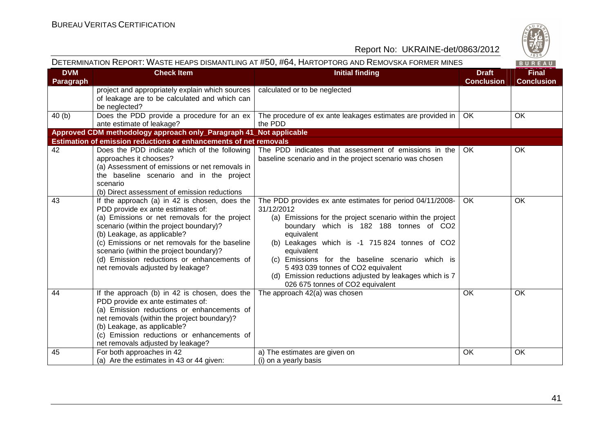

|                         | DETERMINATION REPORT: WASTE HEAPS DISMANTLING AT #50, #64, HARTOPTORG AND REMOVSKA FORMER MINES                                                                                                                                                                                                                                                                                               |                                                                                                                                                                                                                                                                                                                                                                                                                                                        |                                   | BUREAU                            |
|-------------------------|-----------------------------------------------------------------------------------------------------------------------------------------------------------------------------------------------------------------------------------------------------------------------------------------------------------------------------------------------------------------------------------------------|--------------------------------------------------------------------------------------------------------------------------------------------------------------------------------------------------------------------------------------------------------------------------------------------------------------------------------------------------------------------------------------------------------------------------------------------------------|-----------------------------------|-----------------------------------|
| <b>DVM</b><br>Paragraph | <b>Check Item</b>                                                                                                                                                                                                                                                                                                                                                                             | <b>Initial finding</b>                                                                                                                                                                                                                                                                                                                                                                                                                                 | <b>Draft</b><br><b>Conclusion</b> | <b>Final</b><br><b>Conclusion</b> |
|                         | project and appropriately explain which sources<br>of leakage are to be calculated and which can<br>be neglected?                                                                                                                                                                                                                                                                             | calculated or to be neglected                                                                                                                                                                                                                                                                                                                                                                                                                          |                                   |                                   |
| 40(b)                   | Does the PDD provide a procedure for an ex<br>ante estimate of leakage?                                                                                                                                                                                                                                                                                                                       | The procedure of ex ante leakages estimates are provided in<br>the PDD                                                                                                                                                                                                                                                                                                                                                                                 | <b>OK</b>                         | <b>OK</b>                         |
|                         | Approved CDM methodology approach only_Paragraph 41_Not applicable                                                                                                                                                                                                                                                                                                                            |                                                                                                                                                                                                                                                                                                                                                                                                                                                        |                                   |                                   |
|                         | <b>Estimation of emission reductions or enhancements of net removals</b>                                                                                                                                                                                                                                                                                                                      |                                                                                                                                                                                                                                                                                                                                                                                                                                                        |                                   |                                   |
| 42                      | Does the PDD indicate which of the following<br>approaches it chooses?<br>(a) Assessment of emissions or net removals in<br>the baseline scenario and in the project<br>scenario<br>(b) Direct assessment of emission reductions                                                                                                                                                              | The PDD indicates that assessment of emissions in the<br>baseline scenario and in the project scenario was chosen                                                                                                                                                                                                                                                                                                                                      | OK.                               | OK                                |
| 43                      | If the approach (a) in 42 is chosen, does the<br>PDD provide ex ante estimates of:<br>(a) Emissions or net removals for the project<br>scenario (within the project boundary)?<br>(b) Leakage, as applicable?<br>(c) Emissions or net removals for the baseline<br>scenario (within the project boundary)?<br>(d) Emission reductions or enhancements of<br>net removals adjusted by leakage? | The PDD provides ex ante estimates for period 04/11/2008-<br>31/12/2012<br>(a) Emissions for the project scenario within the project<br>boundary which is 182 188 tonnes of CO2<br>equivalent<br>(b) Leakages which is -1 715 824 tonnes of CO2<br>equivalent<br>(c) Emissions for the baseline scenario which is<br>5 493 039 tonnes of CO2 equivalent<br>(d) Emission reductions adjusted by leakages which is 7<br>026 675 tonnes of CO2 equivalent | <b>OK</b>                         | <b>OK</b>                         |
| 44                      | If the approach (b) in 42 is chosen, does the<br>PDD provide ex ante estimates of:<br>(a) Emission reductions or enhancements of<br>net removals (within the project boundary)?<br>(b) Leakage, as applicable?<br>(c) Emission reductions or enhancements of<br>net removals adjusted by leakage?                                                                                             | The approach 42(a) was chosen                                                                                                                                                                                                                                                                                                                                                                                                                          | <b>OK</b>                         | <b>OK</b>                         |
| 45                      | For both approaches in 42<br>(a) Are the estimates in 43 or 44 given:                                                                                                                                                                                                                                                                                                                         | a) The estimates are given on<br>(i) on a yearly basis                                                                                                                                                                                                                                                                                                                                                                                                 | OK                                | OK.                               |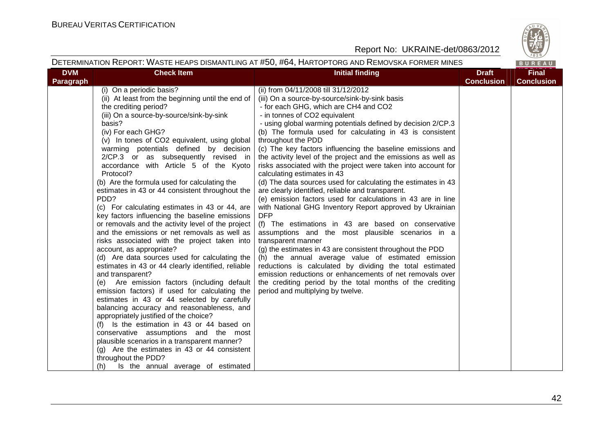

#### DETERMINATION REPORT: WASTE HEAPS DISMANTLING AT #50, #64, HARTOPTORG AND REMOVSKA FORMER MINES

|                         |                                                                                                                                                                                                                                                                                                                                                                                                                                                                                                                                                                                                                                                                                                                                                                                                                                                                                                                                                                                                                                                                                                                                                                                                                                                                                                                                                                                                          | DETERMINATION REPORT: WASTE HEAPS DISMANTLING AT #50, #64, HARTOPTORG AND REMOVSKA FORMER MINES                                                                                                                                                                                                                                                                                                                                                                                                                                                                                                                                                                                                                                                                                                                                                                                                                                                                                                                                                                                                                                                                                                                                                                                                   |                                   | BUREAU                            |
|-------------------------|----------------------------------------------------------------------------------------------------------------------------------------------------------------------------------------------------------------------------------------------------------------------------------------------------------------------------------------------------------------------------------------------------------------------------------------------------------------------------------------------------------------------------------------------------------------------------------------------------------------------------------------------------------------------------------------------------------------------------------------------------------------------------------------------------------------------------------------------------------------------------------------------------------------------------------------------------------------------------------------------------------------------------------------------------------------------------------------------------------------------------------------------------------------------------------------------------------------------------------------------------------------------------------------------------------------------------------------------------------------------------------------------------------|---------------------------------------------------------------------------------------------------------------------------------------------------------------------------------------------------------------------------------------------------------------------------------------------------------------------------------------------------------------------------------------------------------------------------------------------------------------------------------------------------------------------------------------------------------------------------------------------------------------------------------------------------------------------------------------------------------------------------------------------------------------------------------------------------------------------------------------------------------------------------------------------------------------------------------------------------------------------------------------------------------------------------------------------------------------------------------------------------------------------------------------------------------------------------------------------------------------------------------------------------------------------------------------------------|-----------------------------------|-----------------------------------|
| <b>DVM</b><br>Paragraph | <b>Check Item</b>                                                                                                                                                                                                                                                                                                                                                                                                                                                                                                                                                                                                                                                                                                                                                                                                                                                                                                                                                                                                                                                                                                                                                                                                                                                                                                                                                                                        | <b>Initial finding</b>                                                                                                                                                                                                                                                                                                                                                                                                                                                                                                                                                                                                                                                                                                                                                                                                                                                                                                                                                                                                                                                                                                                                                                                                                                                                            | <b>Draft</b><br><b>Conclusion</b> | <b>Final</b><br><b>Conclusion</b> |
|                         | (i) On a periodic basis?<br>(ii) At least from the beginning until the end of<br>the crediting period?<br>(iii) On a source-by-source/sink-by-sink<br>basis?<br>(iv) For each GHG?<br>(v) In tones of CO2 equivalent, using global<br>warming potentials defined by decision<br>2/CP.3 or as subsequently revised in<br>accordance with Article 5 of the Kyoto<br>Protocol?<br>(b) Are the formula used for calculating the<br>estimates in 43 or 44 consistent throughout the<br>PDD?<br>(c) For calculating estimates in 43 or 44, are<br>key factors influencing the baseline emissions<br>or removals and the activity level of the project<br>and the emissions or net removals as well as<br>risks associated with the project taken into<br>account, as appropriate?<br>(d) Are data sources used for calculating the<br>estimates in 43 or 44 clearly identified, reliable<br>and transparent?<br>(e) Are emission factors (including default<br>emission factors) if used for calculating the<br>estimates in 43 or 44 selected by carefully<br>balancing accuracy and reasonableness, and<br>appropriately justified of the choice?<br>(f) Is the estimation in 43 or 44 based on<br>conservative assumptions and the most<br>plausible scenarios in a transparent manner?<br>(g) Are the estimates in 43 or 44 consistent<br>throughout the PDD?<br>Is the annual average of estimated<br>(h) | (ii) from 04/11/2008 till 31/12/2012<br>(iii) On a source-by-source/sink-by-sink basis<br>- for each GHG, which are CH4 and CO2<br>- in tonnes of CO2 equivalent<br>- using global warming potentials defined by decision 2/CP.3<br>(b) The formula used for calculating in 43 is consistent<br>throughout the PDD<br>(c) The key factors influencing the baseline emissions and<br>the activity level of the project and the emissions as well as<br>risks associated with the project were taken into account for<br>calculating estimates in 43<br>(d) The data sources used for calculating the estimates in 43<br>are clearly identified, reliable and transparent.<br>(e) emission factors used for calculations in 43 are in line<br>with National GHG Inventory Report approved by Ukrainian<br><b>DFP</b><br>(f) The estimations in 43 are based on conservative<br>assumptions and the most plausible scenarios in a<br>transparent manner<br>(g) the estimates in 43 are consistent throughout the PDD<br>(h) the annual average value of estimated emission<br>reductions is calculated by dividing the total estimated<br>emission reductions or enhancements of net removals over<br>the crediting period by the total months of the crediting<br>period and multiplying by twelve. |                                   |                                   |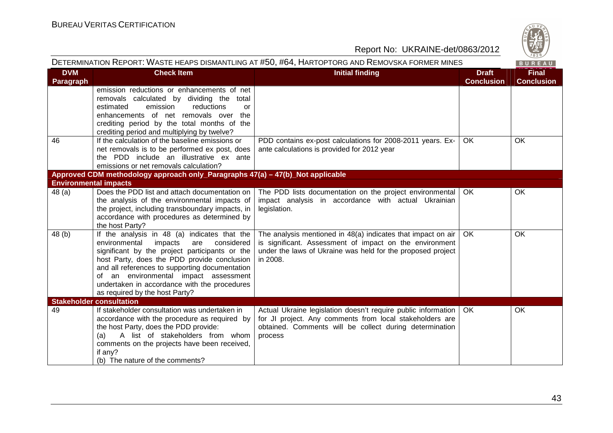

| DETERMINATION REPORT: WASTE HEAPS DISMANTLING AT #50, #64, HARTOPTORG AND REMOVSKA FORMER MINES |                                                                                                                                                                                                                                                                                                                                                                          |                                                                                                                                                                                                    | BUREAU                            |                                   |
|-------------------------------------------------------------------------------------------------|--------------------------------------------------------------------------------------------------------------------------------------------------------------------------------------------------------------------------------------------------------------------------------------------------------------------------------------------------------------------------|----------------------------------------------------------------------------------------------------------------------------------------------------------------------------------------------------|-----------------------------------|-----------------------------------|
| <b>DVM</b><br>Paragraph                                                                         | <b>Check Item</b>                                                                                                                                                                                                                                                                                                                                                        | <b>Initial finding</b>                                                                                                                                                                             | <b>Draft</b><br><b>Conclusion</b> | <b>Final</b><br><b>Conclusion</b> |
|                                                                                                 | emission reductions or enhancements of net<br>removals calculated by dividing the total<br>emission<br>estimated<br>reductions<br>or<br>enhancements of net removals over<br>the<br>crediting period by the total months of the<br>crediting period and multiplying by twelve?                                                                                           |                                                                                                                                                                                                    |                                   |                                   |
| 46                                                                                              | If the calculation of the baseline emissions or<br>net removals is to be performed ex post, does<br>the PDD include an illustrative ex ante<br>emissions or net removals calculation?                                                                                                                                                                                    | PDD contains ex-post calculations for 2008-2011 years. Ex-<br>ante calculations is provided for 2012 year                                                                                          | OK                                | OK                                |
|                                                                                                 | Approved CDM methodology approach only_Paragraphs 47(a) - 47(b)_Not applicable                                                                                                                                                                                                                                                                                           |                                                                                                                                                                                                    |                                   |                                   |
| <b>Environmental impacts</b><br>48 (a)                                                          | Does the PDD list and attach documentation on<br>the analysis of the environmental impacts of<br>the project, including transboundary impacts, in<br>accordance with procedures as determined by<br>the host Party?                                                                                                                                                      | The PDD lists documentation on the project environmental<br>impact analysis in accordance with actual Ukrainian<br>legislation.                                                                    | l OK                              | OK                                |
| 48 (b)                                                                                          | If the analysis in 48 (a) indicates that the<br>considered<br>environmental impacts<br>are<br>significant by the project participants or the<br>host Party, does the PDD provide conclusion<br>and all references to supporting documentation<br>of an environmental impact assessment<br>undertaken in accordance with the procedures<br>as required by the host Party? | The analysis mentioned in 48(a) indicates that impact on air<br>is significant. Assessment of impact on the environment<br>under the laws of Ukraine was held for the proposed project<br>in 2008. | OK                                | OK                                |
|                                                                                                 | <b>Stakeholder consultation</b>                                                                                                                                                                                                                                                                                                                                          |                                                                                                                                                                                                    |                                   |                                   |
| 49                                                                                              | If stakeholder consultation was undertaken in<br>accordance with the procedure as required by<br>the host Party, does the PDD provide:<br>A list of stakeholders from whom<br>(a)<br>comments on the projects have been received,<br>if any?<br>(b) The nature of the comments?                                                                                          | Actual Ukraine legislation doesn't require public information<br>for JI project. Any comments from local stakeholders are<br>obtained. Comments will be collect during determination<br>process    | OK                                | OK                                |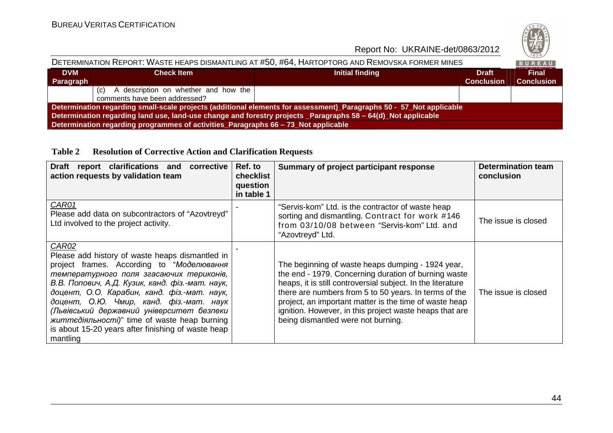

| DETERMINATION REPORT: WASTE HEAPS DISMANTLING AT #50, #64, HARTOPTORG AND REMOVSKA FORMER MINES                     |                                                                                    |                 |                                   | BUREAU                            |  |  |
|---------------------------------------------------------------------------------------------------------------------|------------------------------------------------------------------------------------|-----------------|-----------------------------------|-----------------------------------|--|--|
| <b>DVM</b><br>Paragraph                                                                                             | <b>Check Item</b>                                                                  | Initial finding | <b>Draft</b><br><b>Conclusion</b> | <b>Final</b><br><b>Conclusion</b> |  |  |
|                                                                                                                     | (c) A description on whether and how the<br>comments have been addressed?          |                 |                                   |                                   |  |  |
| Determination regarding small-scale projects (additional elements for assessment)_Paragraphs 50 - 57_Not applicable |                                                                                    |                 |                                   |                                   |  |  |
| Determination regarding land use, land-use change and forestry projects _Paragraphs 58 - 64(d)_Not applicable       |                                                                                    |                 |                                   |                                   |  |  |
|                                                                                                                     | Determination regarding programmes of activities_Paragraphs 66 - 73_Not applicable |                 |                                   |                                   |  |  |

#### **Table 2 Resolution of Corrective Action and Clarification Requests**

| <b>Draft</b><br>report clarifications and corrective<br>action requests by validation team                                                                                                                                                                                                                                                                                                                                                                    | Ref. to<br>checklist<br>question<br>in table 1 | Summary of project participant response                                                                                                                                                                                                                                                                                                                                                      | <b>Determination team</b><br>conclusion |
|---------------------------------------------------------------------------------------------------------------------------------------------------------------------------------------------------------------------------------------------------------------------------------------------------------------------------------------------------------------------------------------------------------------------------------------------------------------|------------------------------------------------|----------------------------------------------------------------------------------------------------------------------------------------------------------------------------------------------------------------------------------------------------------------------------------------------------------------------------------------------------------------------------------------------|-----------------------------------------|
| CAR01<br>Please add data on subcontractors of "Azovtreyd"<br>Ltd involved to the project activity.                                                                                                                                                                                                                                                                                                                                                            |                                                | "Servis-kom" Ltd. is the contractor of waste heap<br>sorting and dismantling. Contract for work #146<br>from 03/10/08 between "Servis-kom" Ltd. and<br>"Azovtreyd" Ltd.                                                                                                                                                                                                                      | The issue is closed                     |
| CAR02<br>Please add history of waste heaps dismantled in<br>project frames. According to "Моделювання<br>температурного поля згасаючих териконів,<br>В.В. Попович, А.Д. Кузик, канд. фіз.-мат. наук,<br>доцент, О.О. Карабин, канд. фіз.-мат. наук,<br>доцент, О.Ю. Чмир, канд. фіз.-мат. наук<br>(Львівський державний університет безпеки<br>життедіяльності)" time of waste heap burning<br>is about 15-20 years after finishing of waste heap<br>mantling |                                                | The beginning of waste heaps dumping - 1924 year,<br>the end - 1979. Concerning duration of burning waste<br>heaps, it is still controversial subject. In the literature<br>there are numbers from 5 to 50 years. In terms of the<br>project, an important matter is the time of waste heap<br>ignition. However, in this project waste heaps that are<br>being dismantled were not burning. | The issue is closed                     |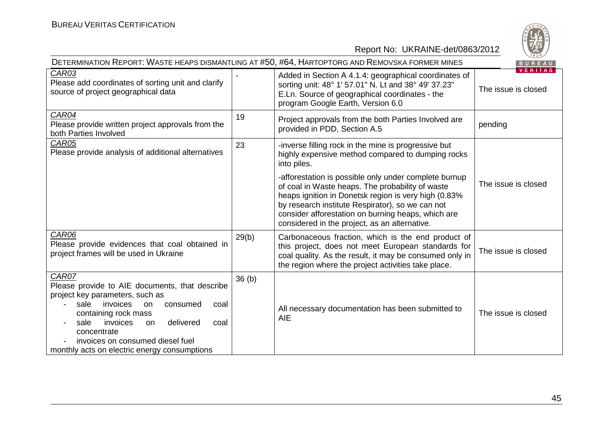

|                                                                                                                                                                                                                                                                                                                           |                   | DETERMINATION REPORT: WASTE HEAPS DISMANTLING AT #50, #64, HARTOPTORG AND REMOVSKA FORMER MINES                                                                                                                                                                                                                              | $\vee$ 829/<br>BUREAU                 |
|---------------------------------------------------------------------------------------------------------------------------------------------------------------------------------------------------------------------------------------------------------------------------------------------------------------------------|-------------------|------------------------------------------------------------------------------------------------------------------------------------------------------------------------------------------------------------------------------------------------------------------------------------------------------------------------------|---------------------------------------|
| CAR03<br>Please add coordinates of sorting unit and clarify<br>source of project geographical data                                                                                                                                                                                                                        |                   | Added in Section A 4.1.4: geographical coordinates of<br>sorting unit: 48° 1' 57.01" N. Lt and 38° 49' 37.23"<br>E.Ln. Source of geographical coordinates - the<br>program Google Earth, Version 6.0                                                                                                                         | <b>VERITAS</b><br>The issue is closed |
| CAR04<br>Please provide written project approvals from the<br>both Parties Involved                                                                                                                                                                                                                                       | 19                | Project approvals from the both Parties Involved are<br>provided in PDD, Section A.5                                                                                                                                                                                                                                         | pending                               |
| <b>CAR05</b><br>Please provide analysis of additional alternatives                                                                                                                                                                                                                                                        | 23                | -inverse filling rock in the mine is progressive but<br>highly expensive method compared to dumping rocks<br>into piles.                                                                                                                                                                                                     |                                       |
|                                                                                                                                                                                                                                                                                                                           |                   | -afforestation is possible only under complete burnup<br>of coal in Waste heaps. The probability of waste<br>heaps ignition in Donetsk region is very high (0.83%<br>by research institute Respirator), so we can not<br>consider afforestation on burning heaps, which are<br>considered in the project, as an alternative. | The issue is closed                   |
| CAR06<br>Please provide evidences that coal obtained in<br>project frames will be used in Ukraine                                                                                                                                                                                                                         | 29(b)             | Carbonaceous fraction, which is the end product of<br>this project, does not meet European standards for<br>coal quality. As the result, it may be consumed only in<br>the region where the project activities take place.                                                                                                   | The issue is closed                   |
| CAR07<br>Please provide to AIE documents, that describe<br>project key parameters, such as<br>sale<br>invoices<br>consumed<br><b>on</b><br>coal<br>containing rock mass<br>invoices<br>delivered<br>sale<br>coal<br>on<br>concentrate<br>invoices on consumed diesel fuel<br>monthly acts on electric energy consumptions | 36 <sub>(b)</sub> | All necessary documentation has been submitted to<br><b>AIE</b>                                                                                                                                                                                                                                                              | The issue is closed                   |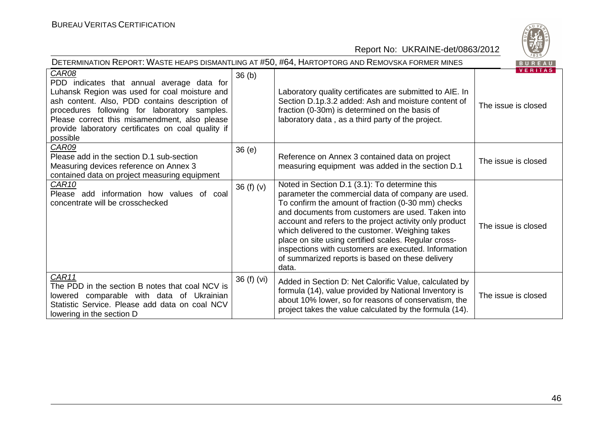| DETERMINATION REPORT: WASTE HEAPS DISMANTLING AT #50, #64, HARTOPTORG AND REMOVSKA FORMER MINES<br>BUREAU                                                                                                                                                                                                                 |                   |                                                                                                                                                                                                                                                                                                                                                                                                                                                                                                           |                                       |  |
|---------------------------------------------------------------------------------------------------------------------------------------------------------------------------------------------------------------------------------------------------------------------------------------------------------------------------|-------------------|-----------------------------------------------------------------------------------------------------------------------------------------------------------------------------------------------------------------------------------------------------------------------------------------------------------------------------------------------------------------------------------------------------------------------------------------------------------------------------------------------------------|---------------------------------------|--|
| CAR08<br>PDD indicates that annual average data for<br>Luhansk Region was used for coal moisture and<br>ash content. Also, PDD contains description of<br>procedures following for laboratory samples.<br>Please correct this misamendment, also please<br>provide laboratory certificates on coal quality if<br>possible | 36 <sub>(b)</sub> | Laboratory quality certificates are submitted to AIE. In<br>Section D.1p.3.2 added: Ash and moisture content of<br>fraction (0-30m) is determined on the basis of<br>laboratory data, as a third party of the project.                                                                                                                                                                                                                                                                                    | <b>VERITAS</b><br>The issue is closed |  |
| <b>CAR09</b><br>Please add in the section D.1 sub-section<br>Measuring devices reference on Annex 3<br>contained data on project measuring equipment                                                                                                                                                                      | 36(e)             | Reference on Annex 3 contained data on project<br>measuring equipment was added in the section D.1                                                                                                                                                                                                                                                                                                                                                                                                        | The issue is closed                   |  |
| CAR <sub>10</sub><br>Please add information how values of coal<br>concentrate will be crosschecked                                                                                                                                                                                                                        | 36 $(f)(v)$       | Noted in Section D.1 (3.1): To determine this<br>parameter the commercial data of company are used.<br>To confirm the amount of fraction (0-30 mm) checks<br>and documents from customers are used. Taken into<br>account and refers to the project activity only product<br>which delivered to the customer. Weighing takes<br>place on site using certified scales. Regular cross-<br>inspections with customers are executed. Information<br>of summarized reports is based on these delivery<br>data. | The issue is closed                   |  |
| CAR11<br>The PDD in the section B notes that coal NCV is<br>comparable with data of Ukrainian<br>lowered<br>Statistic Service. Please add data on coal NCV<br>lowering in the section D                                                                                                                                   | 36 (f) (vi)       | Added in Section D: Net Calorific Value, calculated by<br>formula (14), value provided by National Inventory is<br>about 10% lower, so for reasons of conservatism, the<br>project takes the value calculated by the formula (14).                                                                                                                                                                                                                                                                        | The issue is closed                   |  |